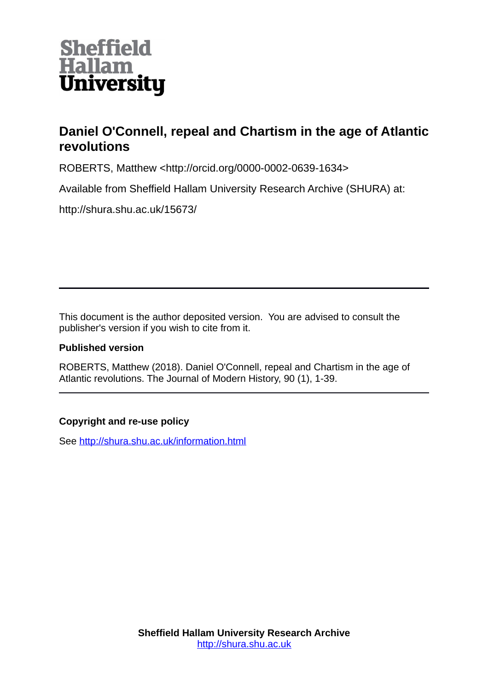

# **Daniel O'Connell, repeal and Chartism in the age of Atlantic revolutions**

ROBERTS, Matthew <http://orcid.org/0000-0002-0639-1634>

Available from Sheffield Hallam University Research Archive (SHURA) at:

http://shura.shu.ac.uk/15673/

This document is the author deposited version. You are advised to consult the publisher's version if you wish to cite from it.

# **Published version**

ROBERTS, Matthew (2018). Daniel O'Connell, repeal and Chartism in the age of Atlantic revolutions. The Journal of Modern History, 90 (1), 1-39.

# **Copyright and re-use policy**

See<http://shura.shu.ac.uk/information.html>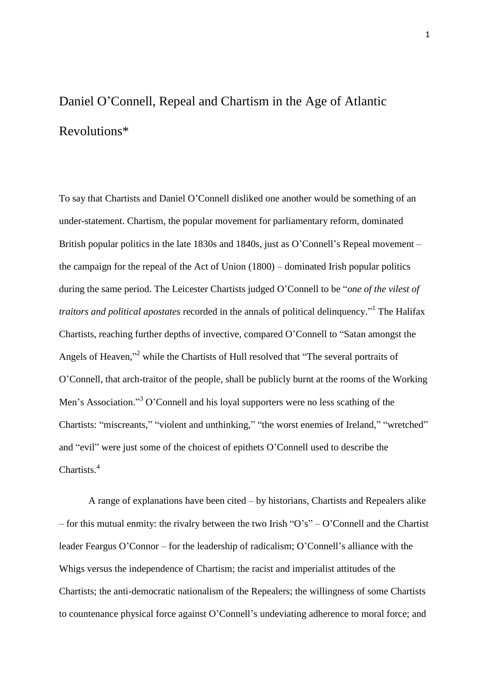# Daniel O'Connell, Repeal and Chartism in the Age of Atlantic Revolutions\*

To say that Chartists and Daniel O'Connell disliked one another would be something of an under-statement. Chartism, the popular movement for parliamentary reform, dominated British popular politics in the late 1830s and 1840s, just as O'Connell's Repeal movement – the campaign for the repeal of the Act of Union (1800) – dominated Irish popular politics during the same period. The Leicester Chartists judged O'Connell to be "*one of the vilest of traitors and political apostates* recorded in the annals of political delinquency." 1 The Halifax Chartists, reaching further depths of invective, compared O'Connell to "Satan amongst the Angels of Heaven,"<sup>2</sup> while the Chartists of Hull resolved that "The several portraits of O'Connell, that arch-traitor of the people, shall be publicly burnt at the rooms of the Working Men's Association."<sup>3</sup> O'Connell and his loyal supporters were no less scathing of the Chartists: "miscreants," "violent and unthinking," "the worst enemies of Ireland," "wretched" and "evil" were just some of the choicest of epithets O'Connell used to describe the Chartists.<sup>4</sup>

A range of explanations have been cited – by historians, Chartists and Repealers alike – for this mutual enmity: the rivalry between the two Irish " $O's$ " –  $O'$ Connell and the Chartist leader Feargus O'Connor – for the leadership of radicalism; O'Connell's alliance with the Whigs versus the independence of Chartism; the racist and imperialist attitudes of the Chartists; the anti-democratic nationalism of the Repealers; the willingness of some Chartists to countenance physical force against O'Connell's undeviating adherence to moral force; and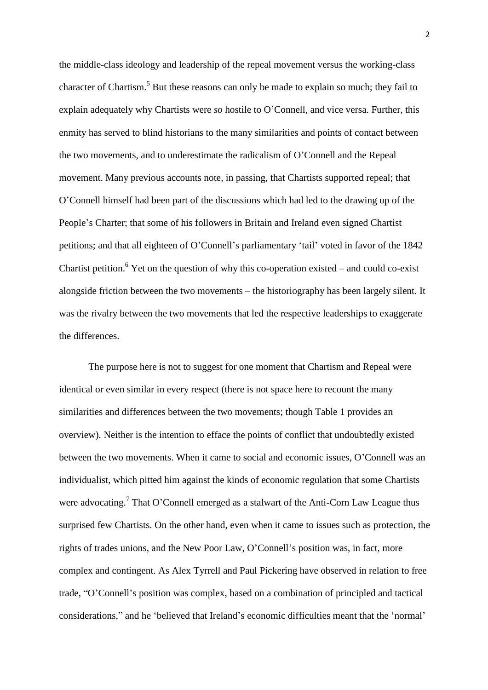the middle-class ideology and leadership of the repeal movement versus the working-class character of Chartism.<sup>5</sup> But these reasons can only be made to explain so much; they fail to explain adequately why Chartists were *so* hostile to O'Connell, and vice versa. Further, this enmity has served to blind historians to the many similarities and points of contact between the two movements, and to underestimate the radicalism of O'Connell and the Repeal movement. Many previous accounts note, in passing, that Chartists supported repeal; that O'Connell himself had been part of the discussions which had led to the drawing up of the People's Charter; that some of his followers in Britain and Ireland even signed Chartist petitions; and that all eighteen of O'Connell's parliamentary 'tail' voted in favor of the 1842 Chartist petition.<sup>6</sup> Yet on the question of why this co-operation existed – and could co-exist alongside friction between the two movements – the historiography has been largely silent. It was the rivalry between the two movements that led the respective leaderships to exaggerate the differences.

The purpose here is not to suggest for one moment that Chartism and Repeal were identical or even similar in every respect (there is not space here to recount the many similarities and differences between the two movements; though Table 1 provides an overview). Neither is the intention to efface the points of conflict that undoubtedly existed between the two movements. When it came to social and economic issues, O'Connell was an individualist, which pitted him against the kinds of economic regulation that some Chartists were advocating.<sup>7</sup> That O'Connell emerged as a stalwart of the Anti-Corn Law League thus surprised few Chartists. On the other hand, even when it came to issues such as protection, the rights of trades unions, and the New Poor Law, O'Connell's position was, in fact, more complex and contingent. As Alex Tyrrell and Paul Pickering have observed in relation to free trade, "O'Connell's position was complex, based on a combination of principled and tactical considerations," and he 'believed that Ireland's economic difficulties meant that the 'normal'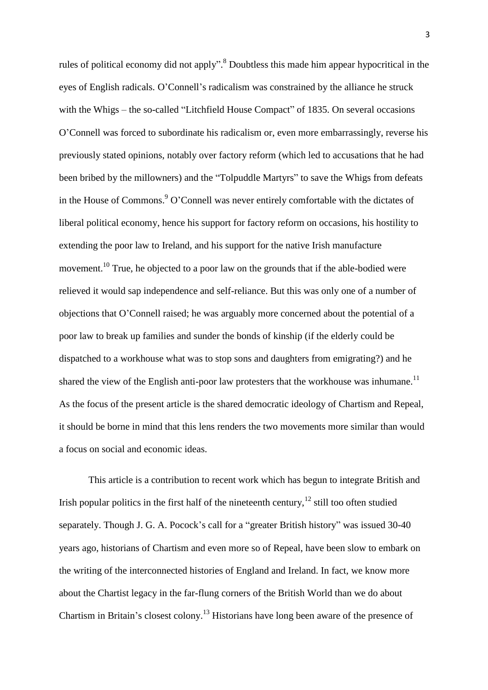rules of political economy did not apply".<sup>8</sup> Doubtless this made him appear hypocritical in the eyes of English radicals. O'Connell's radicalism was constrained by the alliance he struck with the Whigs – the so-called "Litchfield House Compact" of 1835. On several occasions O'Connell was forced to subordinate his radicalism or, even more embarrassingly, reverse his previously stated opinions, notably over factory reform (which led to accusations that he had been bribed by the millowners) and the "Tolpuddle Martyrs" to save the Whigs from defeats in the House of Commons. <sup>9</sup> O'Connell was never entirely comfortable with the dictates of liberal political economy, hence his support for factory reform on occasions, his hostility to extending the poor law to Ireland, and his support for the native Irish manufacture movement.<sup>10</sup> True, he objected to a poor law on the grounds that if the able-bodied were relieved it would sap independence and self-reliance. But this was only one of a number of objections that O'Connell raised; he was arguably more concerned about the potential of a poor law to break up families and sunder the bonds of kinship (if the elderly could be dispatched to a workhouse what was to stop sons and daughters from emigrating?) and he shared the view of the English anti-poor law protesters that the workhouse was inhumane.<sup>11</sup> As the focus of the present article is the shared democratic ideology of Chartism and Repeal, it should be borne in mind that this lens renders the two movements more similar than would a focus on social and economic ideas.

This article is a contribution to recent work which has begun to integrate British and Irish popular politics in the first half of the nineteenth century,  $12$  still too often studied separately. Though J. G. A. Pocock's call for a "greater British history" was issued 30-40 years ago, historians of Chartism and even more so of Repeal, have been slow to embark on the writing of the interconnected histories of England and Ireland. In fact, we know more about the Chartist legacy in the far-flung corners of the British World than we do about Chartism in Britain's closest colony.<sup>13</sup> Historians have long been aware of the presence of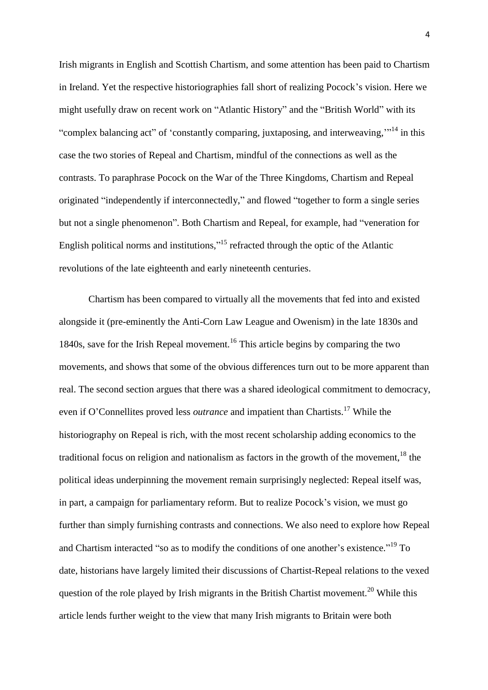Irish migrants in English and Scottish Chartism, and some attention has been paid to Chartism in Ireland. Yet the respective historiographies fall short of realizing Pocock's vision. Here we might usefully draw on recent work on "Atlantic History" and the "British World" with its "complex balancing act" of 'constantly comparing, juxtaposing, and interweaving,"<sup>14</sup> in this case the two stories of Repeal and Chartism, mindful of the connections as well as the contrasts. To paraphrase Pocock on the War of the Three Kingdoms, Chartism and Repeal originated "independently if interconnectedly," and flowed "together to form a single series but not a single phenomenon". Both Chartism and Repeal, for example, had "veneration for English political norms and institutions,"<sup>15</sup> refracted through the optic of the Atlantic revolutions of the late eighteenth and early nineteenth centuries.

Chartism has been compared to virtually all the movements that fed into and existed alongside it (pre-eminently the Anti-Corn Law League and Owenism) in the late 1830s and 1840s, save for the Irish Repeal movement.<sup>16</sup> This article begins by comparing the two movements, and shows that some of the obvious differences turn out to be more apparent than real. The second section argues that there was a shared ideological commitment to democracy, even if O'Connellites proved less *outrance* and impatient than Chartists.<sup>17</sup> While the historiography on Repeal is rich, with the most recent scholarship adding economics to the traditional focus on religion and nationalism as factors in the growth of the movement,  $^{18}$  the political ideas underpinning the movement remain surprisingly neglected: Repeal itself was, in part, a campaign for parliamentary reform. But to realize Pocock's vision, we must go further than simply furnishing contrasts and connections. We also need to explore how Repeal and Chartism interacted "so as to modify the conditions of one another's existence."<sup>19</sup> To date, historians have largely limited their discussions of Chartist-Repeal relations to the vexed question of the role played by Irish migrants in the British Chartist movement.<sup>20</sup> While this article lends further weight to the view that many Irish migrants to Britain were both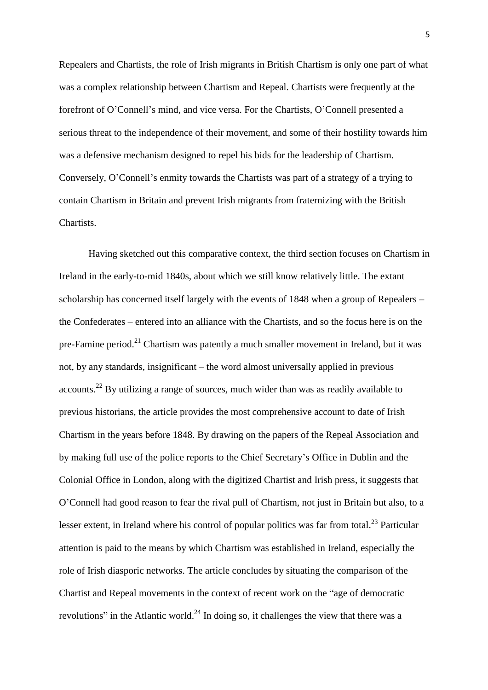Repealers and Chartists, the role of Irish migrants in British Chartism is only one part of what was a complex relationship between Chartism and Repeal. Chartists were frequently at the forefront of O'Connell's mind, and vice versa. For the Chartists, O'Connell presented a serious threat to the independence of their movement, and some of their hostility towards him was a defensive mechanism designed to repel his bids for the leadership of Chartism. Conversely, O'Connell's enmity towards the Chartists was part of a strategy of a trying to contain Chartism in Britain and prevent Irish migrants from fraternizing with the British Chartists.

Having sketched out this comparative context, the third section focuses on Chartism in Ireland in the early-to-mid 1840s, about which we still know relatively little. The extant scholarship has concerned itself largely with the events of 1848 when a group of Repealers – the Confederates – entered into an alliance with the Chartists, and so the focus here is on the pre-Famine period.<sup>21</sup> Chartism was patently a much smaller movement in Ireland, but it was not, by any standards, insignificant – the word almost universally applied in previous  $accounts.<sup>22</sup>$  By utilizing a range of sources, much wider than was as readily available to previous historians, the article provides the most comprehensive account to date of Irish Chartism in the years before 1848. By drawing on the papers of the Repeal Association and by making full use of the police reports to the Chief Secretary's Office in Dublin and the Colonial Office in London, along with the digitized Chartist and Irish press, it suggests that O'Connell had good reason to fear the rival pull of Chartism, not just in Britain but also, to a lesser extent, in Ireland where his control of popular politics was far from total.<sup>23</sup> Particular attention is paid to the means by which Chartism was established in Ireland, especially the role of Irish diasporic networks. The article concludes by situating the comparison of the Chartist and Repeal movements in the context of recent work on the "age of democratic revolutions" in the Atlantic world.<sup>24</sup> In doing so, it challenges the view that there was a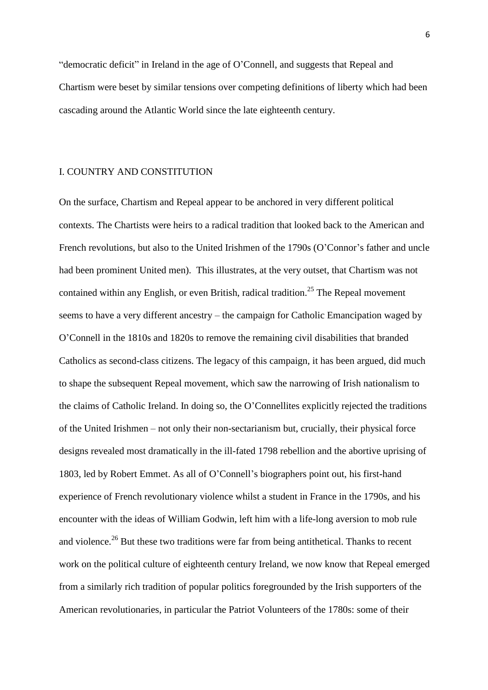"democratic deficit" in Ireland in the age of O'Connell, and suggests that Repeal and Chartism were beset by similar tensions over competing definitions of liberty which had been cascading around the Atlantic World since the late eighteenth century.

#### I. COUNTRY AND CONSTITUTION

On the surface, Chartism and Repeal appear to be anchored in very different political contexts. The Chartists were heirs to a radical tradition that looked back to the American and French revolutions, but also to the United Irishmen of the 1790s (O'Connor's father and uncle had been prominent United men). This illustrates, at the very outset, that Chartism was not contained within any English, or even British, radical tradition.<sup>25</sup> The Repeal movement seems to have a very different ancestry – the campaign for Catholic Emancipation waged by O'Connell in the 1810s and 1820s to remove the remaining civil disabilities that branded Catholics as second-class citizens. The legacy of this campaign, it has been argued, did much to shape the subsequent Repeal movement, which saw the narrowing of Irish nationalism to the claims of Catholic Ireland. In doing so, the O'Connellites explicitly rejected the traditions of the United Irishmen – not only their non-sectarianism but, crucially, their physical force designs revealed most dramatically in the ill-fated 1798 rebellion and the abortive uprising of 1803, led by Robert Emmet. As all of O'Connell's biographers point out, his first-hand experience of French revolutionary violence whilst a student in France in the 1790s, and his encounter with the ideas of William Godwin, left him with a life-long aversion to mob rule and violence.<sup>26</sup> But these two traditions were far from being antithetical. Thanks to recent work on the political culture of eighteenth century Ireland, we now know that Repeal emerged from a similarly rich tradition of popular politics foregrounded by the Irish supporters of the American revolutionaries, in particular the Patriot Volunteers of the 1780s: some of their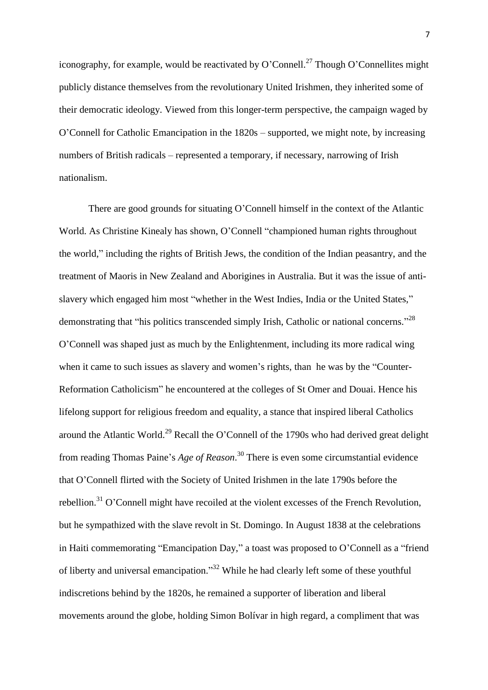iconography, for example, would be reactivated by O'Connell.<sup>27</sup> Though O'Connellites might publicly distance themselves from the revolutionary United Irishmen, they inherited some of their democratic ideology. Viewed from this longer-term perspective, the campaign waged by O'Connell for Catholic Emancipation in the 1820s – supported, we might note, by increasing numbers of British radicals – represented a temporary, if necessary, narrowing of Irish nationalism.

There are good grounds for situating O'Connell himself in the context of the Atlantic World. As Christine Kinealy has shown, O'Connell "championed human rights throughout the world," including the rights of British Jews, the condition of the Indian peasantry, and the treatment of Maoris in New Zealand and Aborigines in Australia. But it was the issue of antislavery which engaged him most "whether in the West Indies, India or the United States," demonstrating that "his politics transcended simply Irish, Catholic or national concerns."<sup>28</sup> O'Connell was shaped just as much by the Enlightenment, including its more radical wing when it came to such issues as slavery and women's rights, than he was by the "Counter-Reformation Catholicism" he encountered at the colleges of St Omer and Douai. Hence his lifelong support for religious freedom and equality, a stance that inspired liberal Catholics around the Atlantic World.<sup>29</sup> Recall the O'Connell of the 1790s who had derived great delight from reading Thomas Paine's *Age of Reason*. <sup>30</sup> There is even some circumstantial evidence that O'Connell flirted with the Society of United Irishmen in the late 1790s before the rebellion.<sup>31</sup> O'Connell might have recoiled at the violent excesses of the French Revolution, but he sympathized with the slave revolt in St. Domingo. In August 1838 at the celebrations in Haiti commemorating "Emancipation Day," a toast was proposed to O'Connell as a "friend of liberty and universal emancipation."<sup>32</sup> While he had clearly left some of these youthful indiscretions behind by the 1820s, he remained a supporter of liberation and liberal movements around the globe, holding Simon Bolívar in high regard, a compliment that was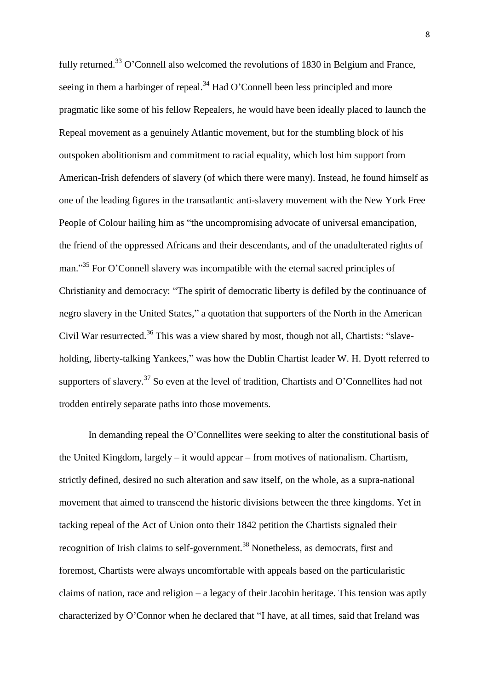fully returned.<sup>33</sup> O'Connell also welcomed the revolutions of 1830 in Belgium and France, seeing in them a harbinger of repeal.<sup>34</sup> Had O'Connell been less principled and more pragmatic like some of his fellow Repealers, he would have been ideally placed to launch the Repeal movement as a genuinely Atlantic movement, but for the stumbling block of his outspoken abolitionism and commitment to racial equality, which lost him support from American-Irish defenders of slavery (of which there were many). Instead, he found himself as one of the leading figures in the transatlantic anti-slavery movement with the New York Free People of Colour hailing him as "the uncompromising advocate of universal emancipation, the friend of the oppressed Africans and their descendants, and of the unadulterated rights of man."<sup>35</sup> For O'Connell slavery was incompatible with the eternal sacred principles of Christianity and democracy: "The spirit of democratic liberty is defiled by the continuance of negro slavery in the United States," a quotation that supporters of the North in the American Civil War resurrected.<sup>36</sup> This was a view shared by most, though not all, Chartists: "slaveholding, liberty-talking Yankees," was how the Dublin Chartist leader W. H. Dyott referred to supporters of slavery.<sup>37</sup> So even at the level of tradition, Chartists and O'Connellites had not trodden entirely separate paths into those movements.

In demanding repeal the O'Connellites were seeking to alter the constitutional basis of the United Kingdom, largely – it would appear – from motives of nationalism. Chartism, strictly defined, desired no such alteration and saw itself, on the whole, as a supra-national movement that aimed to transcend the historic divisions between the three kingdoms. Yet in tacking repeal of the Act of Union onto their 1842 petition the Chartists signaled their recognition of Irish claims to self-government.<sup>38</sup> Nonetheless, as democrats, first and foremost, Chartists were always uncomfortable with appeals based on the particularistic claims of nation, race and religion – a legacy of their Jacobin heritage. This tension was aptly characterized by O'Connor when he declared that "I have, at all times, said that Ireland was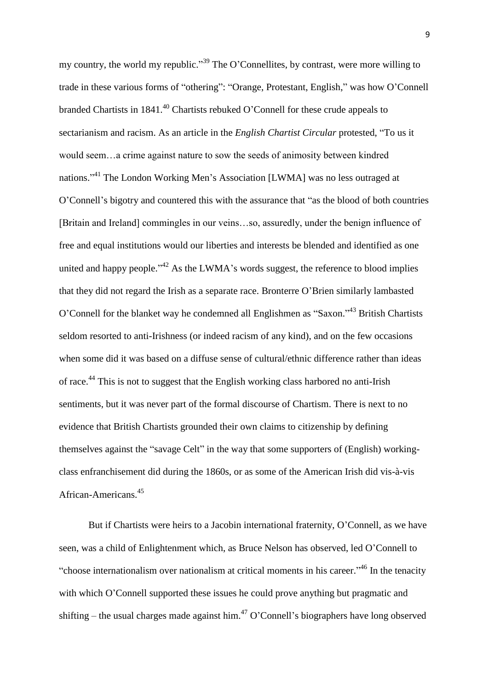my country, the world my republic."<sup>39</sup> The O'Connellites, by contrast, were more willing to trade in these various forms of "othering": "Orange, Protestant, English," was how O'Connell branded Chartists in  $1841<sup>40</sup>$  Chartists rebuked O'Connell for these crude appeals to sectarianism and racism. As an article in the *English Chartist Circular* protested, "To us it would seem…a crime against nature to sow the seeds of animosity between kindred nations."<sup>41</sup> The London Working Men's Association [LWMA] was no less outraged at O'Connell's bigotry and countered this with the assurance that "as the blood of both countries [Britain and Ireland] commingles in our veins…so, assuredly, under the benign influence of free and equal institutions would our liberties and interests be blended and identified as one united and happy people."<sup>42</sup> As the LWMA's words suggest, the reference to blood implies that they did not regard the Irish as a separate race. Bronterre O'Brien similarly lambasted O'Connell for the blanket way he condemned all Englishmen as "Saxon."<sup>43</sup> British Chartists seldom resorted to anti-Irishness (or indeed racism of any kind), and on the few occasions when some did it was based on a diffuse sense of cultural/ethnic difference rather than ideas of race.<sup>44</sup> This is not to suggest that the English working class harbored no anti-Irish sentiments, but it was never part of the formal discourse of Chartism. There is next to no evidence that British Chartists grounded their own claims to citizenship by defining themselves against the "savage Celt" in the way that some supporters of (English) workingclass enfranchisement did during the 1860s, or as some of the American Irish did vis-à-vis African-Americans.<sup>45</sup>

But if Chartists were heirs to a Jacobin international fraternity, O'Connell, as we have seen, was a child of Enlightenment which, as Bruce Nelson has observed, led O'Connell to "choose internationalism over nationalism at critical moments in his career."<sup>46</sup> In the tenacity with which O'Connell supported these issues he could prove anything but pragmatic and shifting – the usual charges made against him.<sup>47</sup> O'Connell's biographers have long observed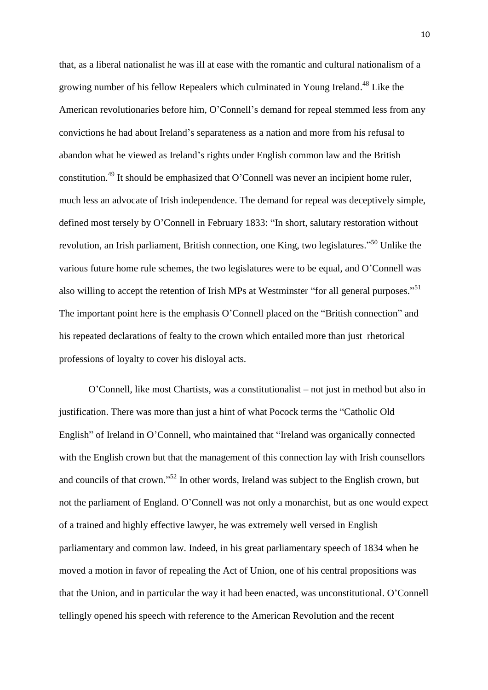that, as a liberal nationalist he was ill at ease with the romantic and cultural nationalism of a growing number of his fellow Repealers which culminated in Young Ireland. <sup>48</sup> Like the American revolutionaries before him, O'Connell's demand for repeal stemmed less from any convictions he had about Ireland's separateness as a nation and more from his refusal to abandon what he viewed as Ireland's rights under English common law and the British constitution.<sup>49</sup> It should be emphasized that O'Connell was never an incipient home ruler, much less an advocate of Irish independence. The demand for repeal was deceptively simple, defined most tersely by O'Connell in February 1833: "In short, salutary restoration without revolution, an Irish parliament, British connection, one King, two legislatures."<sup>50</sup> Unlike the various future home rule schemes, the two legislatures were to be equal, and O'Connell was also willing to accept the retention of Irish MPs at Westminster "for all general purposes."<sup>51</sup> The important point here is the emphasis O'Connell placed on the "British connection" and his repeated declarations of fealty to the crown which entailed more than just rhetorical professions of loyalty to cover his disloyal acts.

O'Connell, like most Chartists, was a constitutionalist – not just in method but also in justification. There was more than just a hint of what Pocock terms the "Catholic Old English" of Ireland in O'Connell, who maintained that "Ireland was organically connected with the English crown but that the management of this connection lay with Irish counsellors and councils of that crown."<sup>52</sup> In other words, Ireland was subject to the English crown, but not the parliament of England. O'Connell was not only a monarchist, but as one would expect of a trained and highly effective lawyer, he was extremely well versed in English parliamentary and common law. Indeed, in his great parliamentary speech of 1834 when he moved a motion in favor of repealing the Act of Union, one of his central propositions was that the Union, and in particular the way it had been enacted, was unconstitutional. O'Connell tellingly opened his speech with reference to the American Revolution and the recent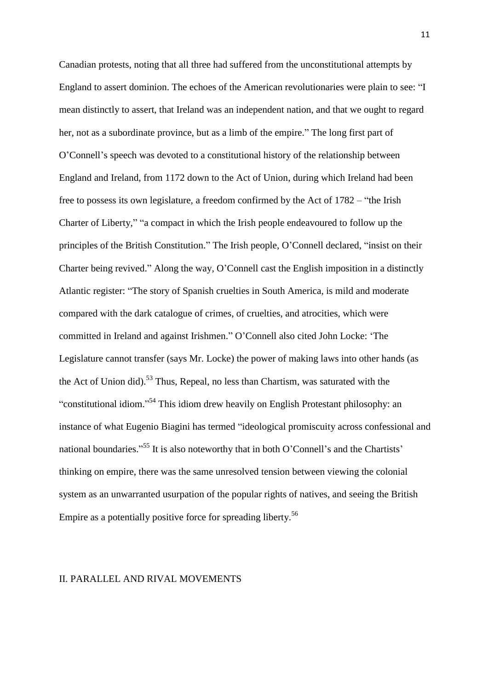Canadian protests, noting that all three had suffered from the unconstitutional attempts by England to assert dominion. The echoes of the American revolutionaries were plain to see: "I mean distinctly to assert, that Ireland was an independent nation, and that we ought to regard her, not as a subordinate province, but as a limb of the empire." The long first part of O'Connell's speech was devoted to a constitutional history of the relationship between England and Ireland, from 1172 down to the Act of Union, during which Ireland had been free to possess its own legislature, a freedom confirmed by the Act of 1782 – "the Irish Charter of Liberty," "a compact in which the Irish people endeavoured to follow up the principles of the British Constitution." The Irish people, O'Connell declared, "insist on their Charter being revived." Along the way, O'Connell cast the English imposition in a distinctly Atlantic register: "The story of Spanish cruelties in South America, is mild and moderate compared with the dark catalogue of crimes, of cruelties, and atrocities, which were committed in Ireland and against Irishmen." O'Connell also cited John Locke: 'The Legislature cannot transfer (says Mr. Locke) the power of making laws into other hands (as the Act of Union did).<sup>53</sup> Thus, Repeal, no less than Chartism, was saturated with the "constitutional idiom."<sup>54</sup> This idiom drew heavily on English Protestant philosophy: an instance of what Eugenio Biagini has termed "ideological promiscuity across confessional and national boundaries."<sup>55</sup> It is also noteworthy that in both O'Connell's and the Chartists' thinking on empire, there was the same unresolved tension between viewing the colonial system as an unwarranted usurpation of the popular rights of natives, and seeing the British Empire as a potentially positive force for spreading liberty.<sup>56</sup>

### II. PARALLEL AND RIVAL MOVEMENTS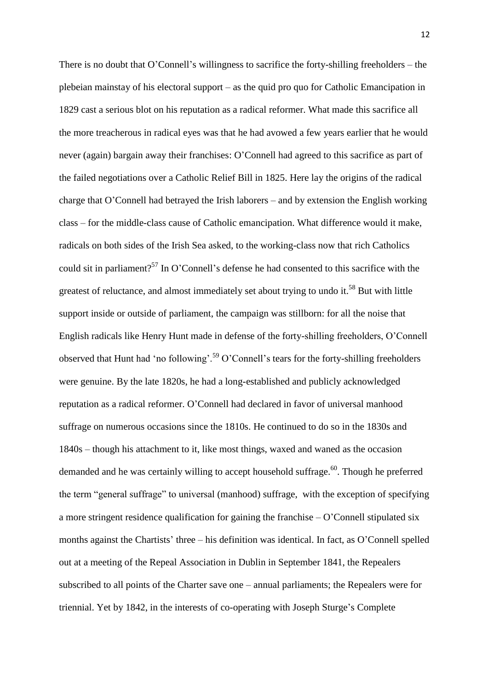There is no doubt that O'Connell's willingness to sacrifice the forty-shilling freeholders – the plebeian mainstay of his electoral support – as the quid pro quo for Catholic Emancipation in 1829 cast a serious blot on his reputation as a radical reformer. What made this sacrifice all the more treacherous in radical eyes was that he had avowed a few years earlier that he would never (again) bargain away their franchises: O'Connell had agreed to this sacrifice as part of the failed negotiations over a Catholic Relief Bill in 1825. Here lay the origins of the radical charge that O'Connell had betrayed the Irish laborers – and by extension the English working class – for the middle-class cause of Catholic emancipation. What difference would it make, radicals on both sides of the Irish Sea asked, to the working-class now that rich Catholics could sit in parliament?<sup>57</sup> In O'Connell's defense he had consented to this sacrifice with the greatest of reluctance, and almost immediately set about trying to undo it.<sup>58</sup> But with little support inside or outside of parliament, the campaign was stillborn: for all the noise that English radicals like Henry Hunt made in defense of the forty-shilling freeholders, O'Connell observed that Hunt had 'no following'.<sup>59</sup> O'Connell's tears for the forty-shilling freeholders were genuine. By the late 1820s, he had a long-established and publicly acknowledged reputation as a radical reformer. O'Connell had declared in favor of universal manhood suffrage on numerous occasions since the 1810s. He continued to do so in the 1830s and 1840s – though his attachment to it, like most things, waxed and waned as the occasion demanded and he was certainly willing to accept household suffrage.<sup>60</sup>. Though he preferred the term "general suffrage" to universal (manhood) suffrage, with the exception of specifying a more stringent residence qualification for gaining the franchise – O'Connell stipulated six months against the Chartists' three – his definition was identical. In fact, as O'Connell spelled out at a meeting of the Repeal Association in Dublin in September 1841, the Repealers subscribed to all points of the Charter save one – annual parliaments; the Repealers were for triennial. Yet by 1842, in the interests of co-operating with Joseph Sturge's Complete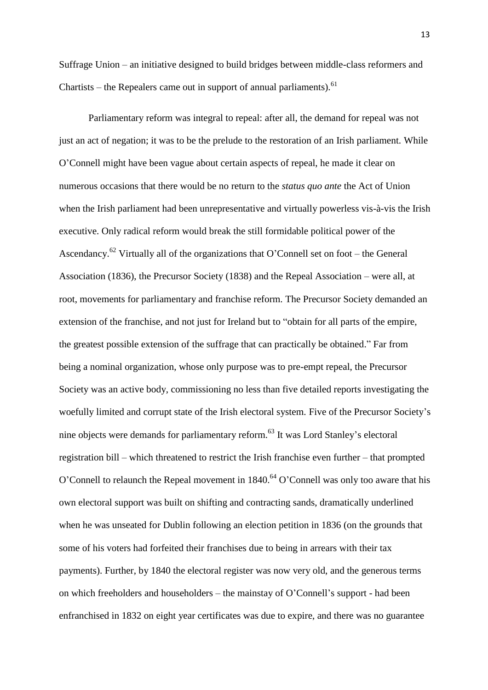Suffrage Union – an initiative designed to build bridges between middle-class reformers and Chartists – the Repealers came out in support of annual parliaments).  $61$ 

Parliamentary reform was integral to repeal: after all, the demand for repeal was not just an act of negation; it was to be the prelude to the restoration of an Irish parliament. While O'Connell might have been vague about certain aspects of repeal, he made it clear on numerous occasions that there would be no return to the *status quo ante* the Act of Union when the Irish parliament had been unrepresentative and virtually powerless vis-à-vis the Irish executive. Only radical reform would break the still formidable political power of the Ascendancy.<sup>62</sup> Virtually all of the organizations that O'Connell set on foot – the General Association (1836), the Precursor Society (1838) and the Repeal Association – were all, at root, movements for parliamentary and franchise reform. The Precursor Society demanded an extension of the franchise, and not just for Ireland but to "obtain for all parts of the empire, the greatest possible extension of the suffrage that can practically be obtained." Far from being a nominal organization, whose only purpose was to pre-empt repeal, the Precursor Society was an active body, commissioning no less than five detailed reports investigating the woefully limited and corrupt state of the Irish electoral system. Five of the Precursor Society's nine objects were demands for parliamentary reform.<sup>63</sup> It was Lord Stanley's electoral registration bill – which threatened to restrict the Irish franchise even further – that prompted O'Connell to relaunch the Repeal movement in  $1840.64$  O'Connell was only too aware that his own electoral support was built on shifting and contracting sands, dramatically underlined when he was unseated for Dublin following an election petition in 1836 (on the grounds that some of his voters had forfeited their franchises due to being in arrears with their tax payments). Further, by 1840 the electoral register was now very old, and the generous terms on which freeholders and householders – the mainstay of O'Connell's support - had been enfranchised in 1832 on eight year certificates was due to expire, and there was no guarantee

13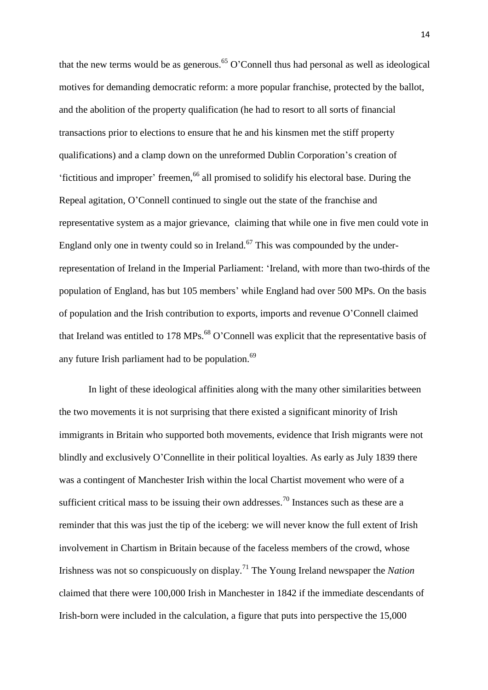that the new terms would be as generous.<sup>65</sup> O'Connell thus had personal as well as ideological motives for demanding democratic reform: a more popular franchise, protected by the ballot, and the abolition of the property qualification (he had to resort to all sorts of financial transactions prior to elections to ensure that he and his kinsmen met the stiff property qualifications) and a clamp down on the unreformed Dublin Corporation's creation of 'fictitious and improper' freemen,<sup>66</sup> all promised to solidify his electoral base. During the Repeal agitation, O'Connell continued to single out the state of the franchise and representative system as a major grievance, claiming that while one in five men could vote in England only one in twenty could so in Ireland.<sup>67</sup> This was compounded by the underrepresentation of Ireland in the Imperial Parliament: 'Ireland, with more than two-thirds of the population of England, has but 105 members' while England had over 500 MPs. On the basis of population and the Irish contribution to exports, imports and revenue O'Connell claimed that Ireland was entitled to 178 MPs.<sup>68</sup> O'Connell was explicit that the representative basis of any future Irish parliament had to be population.<sup>69</sup>

In light of these ideological affinities along with the many other similarities between the two movements it is not surprising that there existed a significant minority of Irish immigrants in Britain who supported both movements, evidence that Irish migrants were not blindly and exclusively O'Connellite in their political loyalties. As early as July 1839 there was a contingent of Manchester Irish within the local Chartist movement who were of a sufficient critical mass to be issuing their own addresses.<sup>70</sup> Instances such as these are a reminder that this was just the tip of the iceberg: we will never know the full extent of Irish involvement in Chartism in Britain because of the faceless members of the crowd, whose Irishness was not so conspicuously on display.<sup>71</sup> The Young Ireland newspaper the *Nation* claimed that there were 100,000 Irish in Manchester in 1842 if the immediate descendants of Irish-born were included in the calculation, a figure that puts into perspective the 15,000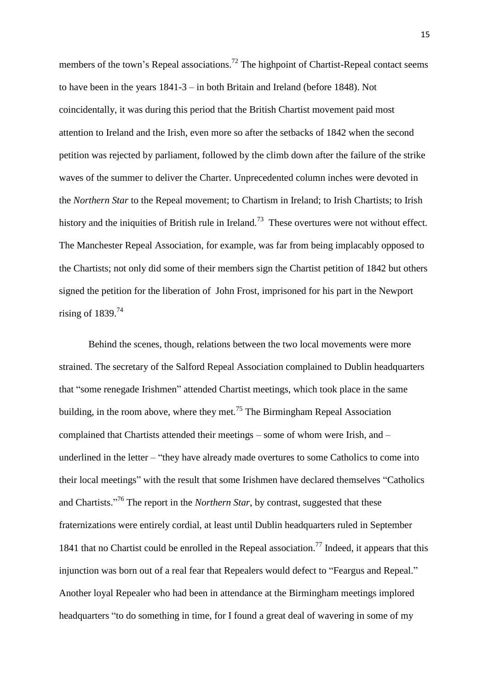members of the town's Repeal associations.<sup>72</sup> The highpoint of Chartist-Repeal contact seems to have been in the years 1841-3 – in both Britain and Ireland (before 1848). Not coincidentally, it was during this period that the British Chartist movement paid most attention to Ireland and the Irish, even more so after the setbacks of 1842 when the second petition was rejected by parliament, followed by the climb down after the failure of the strike waves of the summer to deliver the Charter. Unprecedented column inches were devoted in the *Northern Star* to the Repeal movement; to Chartism in Ireland; to Irish Chartists; to Irish history and the iniquities of British rule in Ireland.<sup>73</sup> These overtures were not without effect. The Manchester Repeal Association, for example, was far from being implacably opposed to the Chartists; not only did some of their members sign the Chartist petition of 1842 but others signed the petition for the liberation of John Frost, imprisoned for his part in the Newport rising of  $1839.<sup>74</sup>$ 

Behind the scenes, though, relations between the two local movements were more strained. The secretary of the Salford Repeal Association complained to Dublin headquarters that "some renegade Irishmen" attended Chartist meetings, which took place in the same building, in the room above, where they met.<sup>75</sup> The Birmingham Repeal Association complained that Chartists attended their meetings – some of whom were Irish, and – underlined in the letter – "they have already made overtures to some Catholics to come into their local meetings" with the result that some Irishmen have declared themselves "Catholics and Chartists." <sup>76</sup> The report in the *Northern Star*, by contrast, suggested that these fraternizations were entirely cordial, at least until Dublin headquarters ruled in September 1841 that no Chartist could be enrolled in the Repeal association.<sup>77</sup> Indeed, it appears that this injunction was born out of a real fear that Repealers would defect to "Feargus and Repeal." Another loyal Repealer who had been in attendance at the Birmingham meetings implored headquarters "to do something in time, for I found a great deal of wavering in some of my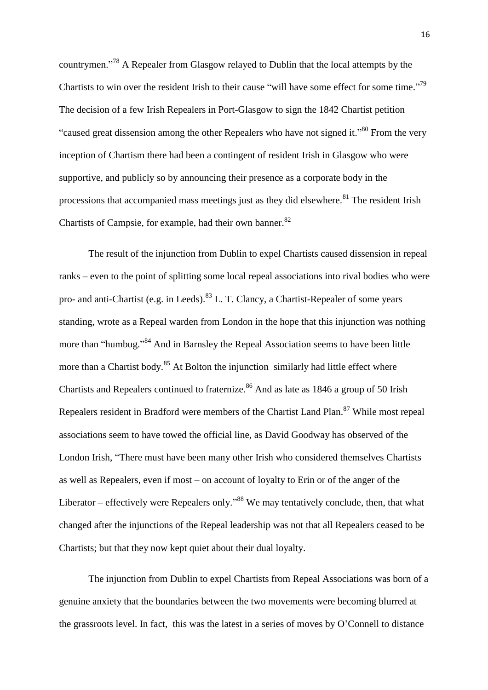countrymen."<sup>78</sup> A Repealer from Glasgow relayed to Dublin that the local attempts by the Chartists to win over the resident Irish to their cause "will have some effect for some time."<sup>79</sup> The decision of a few Irish Repealers in Port-Glasgow to sign the 1842 Chartist petition "caused great dissension among the other Repealers who have not signed it."<sup>80</sup> From the very inception of Chartism there had been a contingent of resident Irish in Glasgow who were supportive, and publicly so by announcing their presence as a corporate body in the processions that accompanied mass meetings just as they did elsewhere.<sup>81</sup> The resident Irish Chartists of Campsie, for example, had their own banner.<sup>82</sup>

The result of the injunction from Dublin to expel Chartists caused dissension in repeal ranks – even to the point of splitting some local repeal associations into rival bodies who were pro- and anti-Chartist (e.g. in Leeds).<sup>83</sup> L. T. Clancy, a Chartist-Repealer of some years standing, wrote as a Repeal warden from London in the hope that this injunction was nothing more than "humbug."<sup>84</sup> And in Barnsley the Repeal Association seems to have been little more than a Chartist body.<sup>85</sup> At Bolton the injunction similarly had little effect where Chartists and Repealers continued to fraternize.<sup>86</sup> And as late as 1846 a group of 50 Irish Repealers resident in Bradford were members of the Chartist Land Plan.<sup>87</sup> While most repeal associations seem to have towed the official line, as David Goodway has observed of the London Irish, "There must have been many other Irish who considered themselves Chartists as well as Repealers, even if most – on account of loyalty to Erin or of the anger of the Liberator – effectively were Repealers only.<sup>38</sup> We may tentatively conclude, then, that what changed after the injunctions of the Repeal leadership was not that all Repealers ceased to be Chartists; but that they now kept quiet about their dual loyalty.

The injunction from Dublin to expel Chartists from Repeal Associations was born of a genuine anxiety that the boundaries between the two movements were becoming blurred at the grassroots level. In fact, this was the latest in a series of moves by O'Connell to distance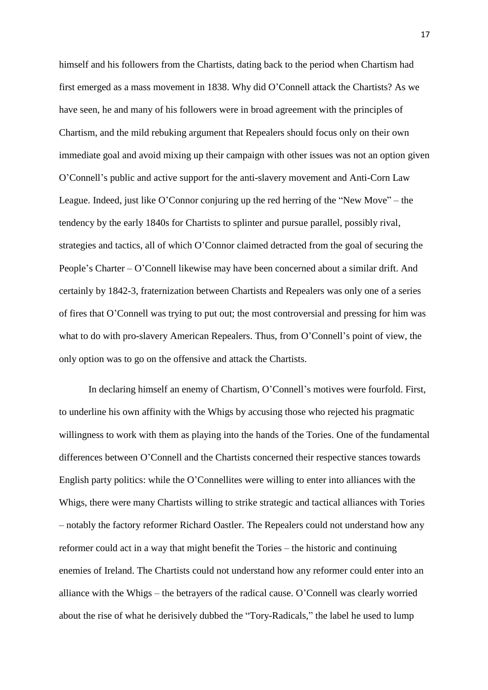himself and his followers from the Chartists, dating back to the period when Chartism had first emerged as a mass movement in 1838. Why did O'Connell attack the Chartists? As we have seen, he and many of his followers were in broad agreement with the principles of Chartism, and the mild rebuking argument that Repealers should focus only on their own immediate goal and avoid mixing up their campaign with other issues was not an option given O'Connell's public and active support for the anti-slavery movement and Anti-Corn Law League. Indeed, just like O'Connor conjuring up the red herring of the "New Move" – the tendency by the early 1840s for Chartists to splinter and pursue parallel, possibly rival, strategies and tactics, all of which O'Connor claimed detracted from the goal of securing the People's Charter – O'Connell likewise may have been concerned about a similar drift. And certainly by 1842-3, fraternization between Chartists and Repealers was only one of a series of fires that O'Connell was trying to put out; the most controversial and pressing for him was what to do with pro-slavery American Repealers. Thus, from O'Connell's point of view, the only option was to go on the offensive and attack the Chartists.

In declaring himself an enemy of Chartism, O'Connell's motives were fourfold. First, to underline his own affinity with the Whigs by accusing those who rejected his pragmatic willingness to work with them as playing into the hands of the Tories. One of the fundamental differences between O'Connell and the Chartists concerned their respective stances towards English party politics: while the O'Connellites were willing to enter into alliances with the Whigs, there were many Chartists willing to strike strategic and tactical alliances with Tories – notably the factory reformer Richard Oastler. The Repealers could not understand how any reformer could act in a way that might benefit the Tories – the historic and continuing enemies of Ireland. The Chartists could not understand how any reformer could enter into an alliance with the Whigs – the betrayers of the radical cause. O'Connell was clearly worried about the rise of what he derisively dubbed the "Tory-Radicals," the label he used to lump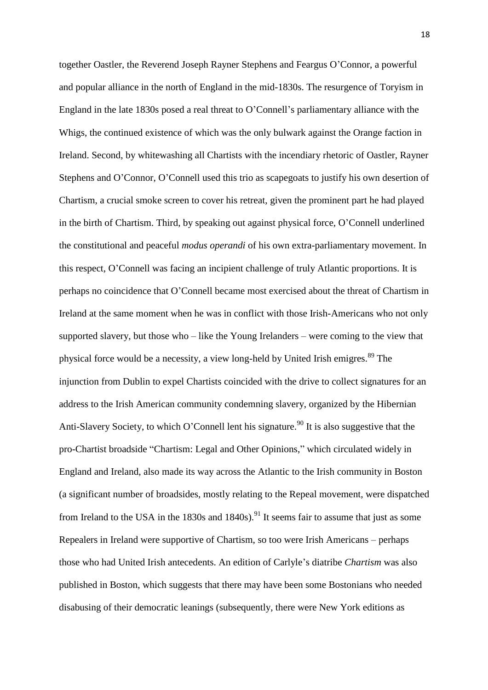together Oastler, the Reverend Joseph Rayner Stephens and Feargus O'Connor, a powerful and popular alliance in the north of England in the mid-1830s. The resurgence of Toryism in England in the late 1830s posed a real threat to O'Connell's parliamentary alliance with the Whigs, the continued existence of which was the only bulwark against the Orange faction in Ireland. Second, by whitewashing all Chartists with the incendiary rhetoric of Oastler, Rayner Stephens and O'Connor, O'Connell used this trio as scapegoats to justify his own desertion of Chartism, a crucial smoke screen to cover his retreat, given the prominent part he had played in the birth of Chartism. Third, by speaking out against physical force, O'Connell underlined the constitutional and peaceful *modus operandi* of his own extra-parliamentary movement. In this respect, O'Connell was facing an incipient challenge of truly Atlantic proportions. It is perhaps no coincidence that O'Connell became most exercised about the threat of Chartism in Ireland at the same moment when he was in conflict with those Irish-Americans who not only supported slavery, but those who – like the Young Irelanders – were coming to the view that physical force would be a necessity, a view long-held by United Irish emigres.<sup>89</sup> The injunction from Dublin to expel Chartists coincided with the drive to collect signatures for an address to the Irish American community condemning slavery, organized by the Hibernian Anti-Slavery Society, to which O'Connell lent his signature.<sup>90</sup> It is also suggestive that the pro-Chartist broadside "Chartism: Legal and Other Opinions," which circulated widely in England and Ireland, also made its way across the Atlantic to the Irish community in Boston (a significant number of broadsides, mostly relating to the Repeal movement, were dispatched from Ireland to the USA in the 1830s and 1840s).<sup>91</sup> It seems fair to assume that just as some Repealers in Ireland were supportive of Chartism, so too were Irish Americans – perhaps those who had United Irish antecedents. An edition of Carlyle's diatribe *Chartism* was also published in Boston, which suggests that there may have been some Bostonians who needed disabusing of their democratic leanings (subsequently, there were New York editions as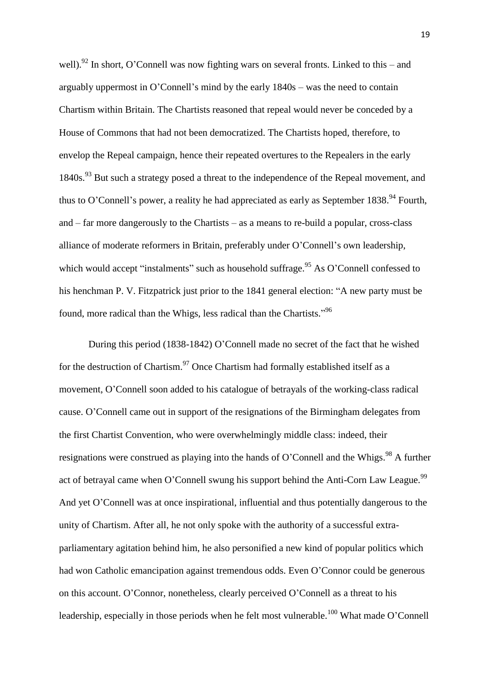well).<sup>92</sup> In short, O'Connell was now fighting wars on several fronts. Linked to this – and arguably uppermost in O'Connell's mind by the early 1840s – was the need to contain Chartism within Britain. The Chartists reasoned that repeal would never be conceded by a House of Commons that had not been democratized. The Chartists hoped, therefore, to envelop the Repeal campaign, hence their repeated overtures to the Repealers in the early 1840s.<sup>93</sup> But such a strategy posed a threat to the independence of the Repeal movement, and thus to O'Connell's power, a reality he had appreciated as early as September 1838.<sup>94</sup> Fourth, and – far more dangerously to the Chartists – as a means to re-build a popular, cross-class alliance of moderate reformers in Britain, preferably under O'Connell's own leadership, which would accept "instalments" such as household suffrage.<sup>95</sup> As O'Connell confessed to his henchman P. V. Fitzpatrick just prior to the 1841 general election: "A new party must be found, more radical than the Whigs, less radical than the Chartists."<sup>96</sup>

During this period (1838-1842) O'Connell made no secret of the fact that he wished for the destruction of Chartism.<sup>97</sup> Once Chartism had formally established itself as a movement, O'Connell soon added to his catalogue of betrayals of the working-class radical cause. O'Connell came out in support of the resignations of the Birmingham delegates from the first Chartist Convention, who were overwhelmingly middle class: indeed, their resignations were construed as playing into the hands of O'Connell and the Whigs.<sup>98</sup> A further act of betraval came when O'Connell swung his support behind the Anti-Corn Law League.<sup>99</sup> And yet O'Connell was at once inspirational, influential and thus potentially dangerous to the unity of Chartism. After all, he not only spoke with the authority of a successful extraparliamentary agitation behind him, he also personified a new kind of popular politics which had won Catholic emancipation against tremendous odds. Even O'Connor could be generous on this account. O'Connor, nonetheless, clearly perceived O'Connell as a threat to his leadership, especially in those periods when he felt most vulnerable.<sup>100</sup> What made O'Connell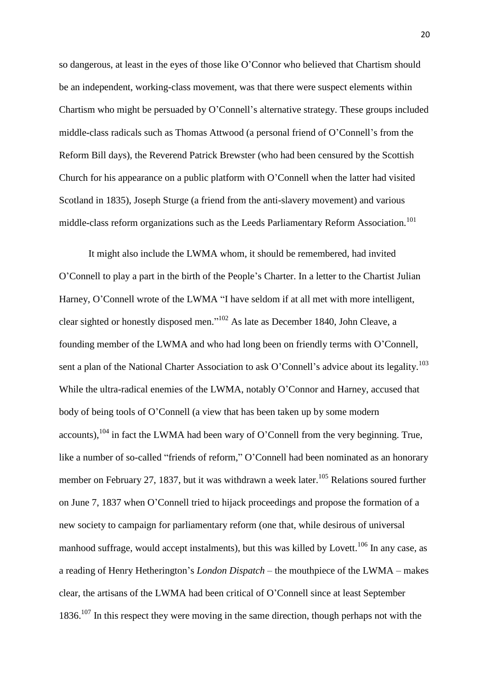so dangerous, at least in the eyes of those like O'Connor who believed that Chartism should be an independent, working-class movement, was that there were suspect elements within Chartism who might be persuaded by O'Connell's alternative strategy. These groups included middle-class radicals such as Thomas Attwood (a personal friend of O'Connell's from the Reform Bill days), the Reverend Patrick Brewster (who had been censured by the Scottish Church for his appearance on a public platform with O'Connell when the latter had visited Scotland in 1835), Joseph Sturge (a friend from the anti-slavery movement) and various middle-class reform organizations such as the Leeds Parliamentary Reform Association.<sup>101</sup>

It might also include the LWMA whom, it should be remembered, had invited O'Connell to play a part in the birth of the People's Charter. In a letter to the Chartist Julian Harney, O'Connell wrote of the LWMA "I have seldom if at all met with more intelligent, clear sighted or honestly disposed men."<sup>102</sup> As late as December 1840, John Cleave, a founding member of the LWMA and who had long been on friendly terms with O'Connell, sent a plan of the National Charter Association to ask O'Connell's advice about its legality.<sup>103</sup> While the ultra-radical enemies of the LWMA, notably O'Connor and Harney, accused that body of being tools of O'Connell (a view that has been taken up by some modern accounts),  $104$  in fact the LWMA had been wary of O'Connell from the very beginning. True, like a number of so-called "friends of reform," O'Connell had been nominated as an honorary member on February 27, 1837, but it was withdrawn a week later.<sup>105</sup> Relations soured further on June 7, 1837 when O'Connell tried to hijack proceedings and propose the formation of a new society to campaign for parliamentary reform (one that, while desirous of universal manhood suffrage, would accept instalments), but this was killed by Lovett.<sup>106</sup> In any case, as a reading of Henry Hetherington's *London Dispatch* – the mouthpiece of the LWMA – makes clear, the artisans of the LWMA had been critical of O'Connell since at least September 1836.<sup>107</sup> In this respect they were moving in the same direction, though perhaps not with the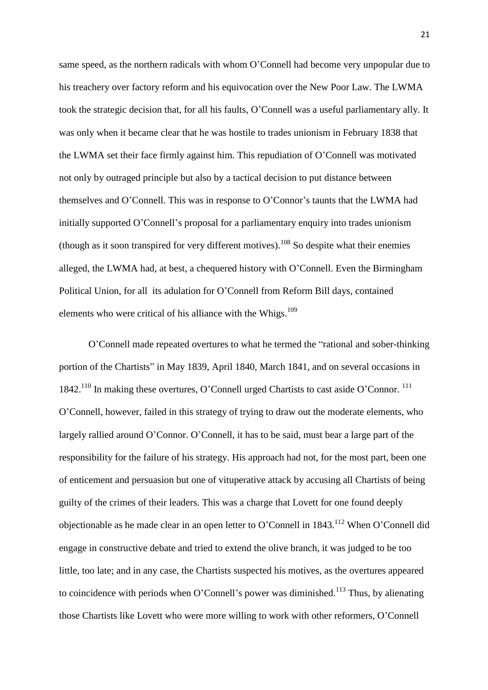same speed, as the northern radicals with whom O'Connell had become very unpopular due to his treachery over factory reform and his equivocation over the New Poor Law. The LWMA took the strategic decision that, for all his faults, O'Connell was a useful parliamentary ally. It was only when it became clear that he was hostile to trades unionism in February 1838 that the LWMA set their face firmly against him. This repudiation of O'Connell was motivated not only by outraged principle but also by a tactical decision to put distance between themselves and O'Connell. This was in response to O'Connor's taunts that the LWMA had initially supported O'Connell's proposal for a parliamentary enquiry into trades unionism (though as it soon transpired for very different motives).<sup>108</sup> So despite what their enemies alleged, the LWMA had, at best, a chequered history with O'Connell. Even the Birmingham Political Union, for all its adulation for O'Connell from Reform Bill days, contained elements who were critical of his alliance with the Whigs.<sup>109</sup>

O'Connell made repeated overtures to what he termed the "rational and sober-thinking portion of the Chartists" in May 1839, April 1840, March 1841, and on several occasions in 1842.<sup>110</sup> In making these overtures, O'Connell urged Chartists to cast aside O'Connor.<sup>111</sup> O'Connell, however, failed in this strategy of trying to draw out the moderate elements, who largely rallied around O'Connor. O'Connell, it has to be said, must bear a large part of the responsibility for the failure of his strategy. His approach had not, for the most part, been one of enticement and persuasion but one of vituperative attack by accusing all Chartists of being guilty of the crimes of their leaders. This was a charge that Lovett for one found deeply objectionable as he made clear in an open letter to O'Connell in  $1843$ <sup> $112$ </sup> When O'Connell did engage in constructive debate and tried to extend the olive branch, it was judged to be too little, too late; and in any case, the Chartists suspected his motives, as the overtures appeared to coincidence with periods when O'Connell's power was diminished.<sup>113</sup> Thus, by alienating those Chartists like Lovett who were more willing to work with other reformers, O'Connell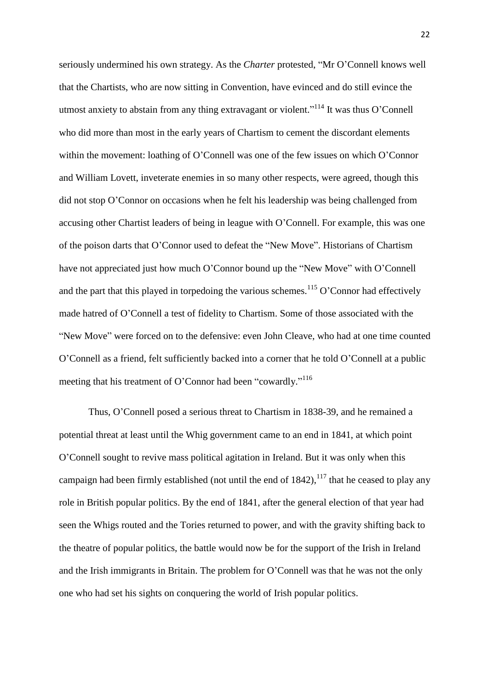seriously undermined his own strategy. As the *Charter* protested, "Mr O'Connell knows well that the Chartists, who are now sitting in Convention, have evinced and do still evince the utmost anxiety to abstain from any thing extravagant or violent."<sup>114</sup> It was thus O'Connell who did more than most in the early years of Chartism to cement the discordant elements within the movement: loathing of O'Connell was one of the few issues on which O'Connor and William Lovett, inveterate enemies in so many other respects, were agreed, though this did not stop O'Connor on occasions when he felt his leadership was being challenged from accusing other Chartist leaders of being in league with O'Connell. For example, this was one of the poison darts that O'Connor used to defeat the "New Move". Historians of Chartism have not appreciated just how much O'Connor bound up the "New Move" with O'Connell and the part that this played in torpedoing the various schemes.<sup>115</sup> O'Connor had effectively made hatred of O'Connell a test of fidelity to Chartism. Some of those associated with the "New Move" were forced on to the defensive: even John Cleave, who had at one time counted O'Connell as a friend, felt sufficiently backed into a corner that he told O'Connell at a public meeting that his treatment of O'Connor had been "cowardly."<sup>116</sup>

Thus, O'Connell posed a serious threat to Chartism in 1838-39, and he remained a potential threat at least until the Whig government came to an end in 1841, at which point O'Connell sought to revive mass political agitation in Ireland. But it was only when this campaign had been firmly established (not until the end of  $1842$ ),  $^{117}$  that he ceased to play any role in British popular politics. By the end of 1841, after the general election of that year had seen the Whigs routed and the Tories returned to power, and with the gravity shifting back to the theatre of popular politics, the battle would now be for the support of the Irish in Ireland and the Irish immigrants in Britain. The problem for O'Connell was that he was not the only one who had set his sights on conquering the world of Irish popular politics.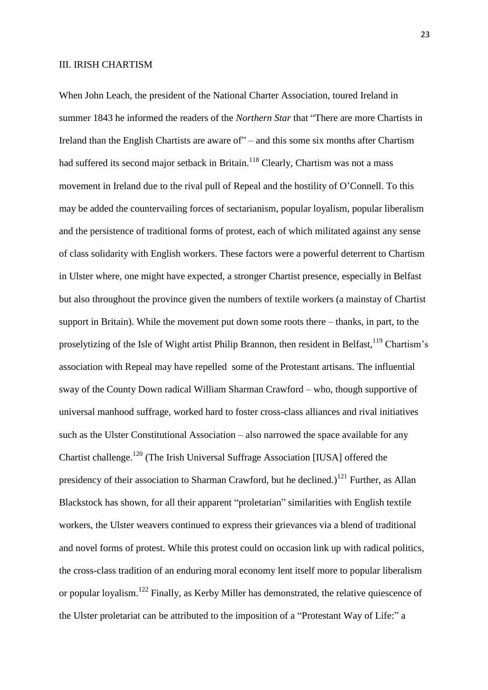#### III. IRISH CHARTISM

When John Leach, the president of the National Charter Association, toured Ireland in summer 1843 he informed the readers of the *Northern Star* that "There are more Chartists in Ireland than the English Chartists are aware of" – and this some six months after Chartism had suffered its second major setback in Britain.<sup>118</sup> Clearly, Chartism was not a mass movement in Ireland due to the rival pull of Repeal and the hostility of O'Connell. To this may be added the countervailing forces of sectarianism, popular loyalism, popular liberalism and the persistence of traditional forms of protest, each of which militated against any sense of class solidarity with English workers. These factors were a powerful deterrent to Chartism in Ulster where, one might have expected, a stronger Chartist presence, especially in Belfast but also throughout the province given the numbers of textile workers (a mainstay of Chartist support in Britain). While the movement put down some roots there – thanks, in part, to the proselytizing of the Isle of Wight artist Philip Brannon, then resident in Belfast,<sup>119</sup> Chartism's association with Repeal may have repelled some of the Protestant artisans. The influential sway of the County Down radical William Sharman Crawford – who, though supportive of universal manhood suffrage, worked hard to foster cross-class alliances and rival initiatives such as the Ulster Constitutional Association – also narrowed the space available for any Chartist challenge.<sup>120</sup> (The Irish Universal Suffrage Association [IUSA] offered the presidency of their association to Sharman Crawford, but he declined.)<sup>121</sup> Further, as Allan Blackstock has shown, for all their apparent "proletarian" similarities with English textile workers, the Ulster weavers continued to express their grievances via a blend of traditional and novel forms of protest. While this protest could on occasion link up with radical politics, the cross-class tradition of an enduring moral economy lent itself more to popular liberalism or popular loyalism.<sup>122</sup> Finally, as Kerby Miller has demonstrated, the relative quiescence of the Ulster proletariat can be attributed to the imposition of a "Protestant Way of Life:" a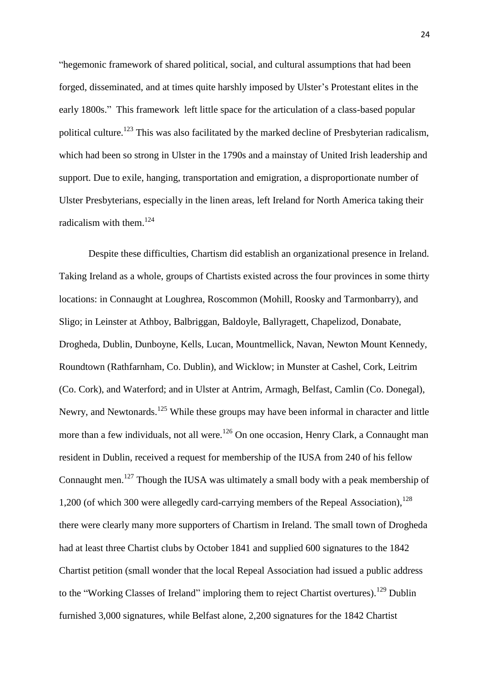"hegemonic framework of shared political, social, and cultural assumptions that had been forged, disseminated, and at times quite harshly imposed by Ulster's Protestant elites in the early 1800s." This framework left little space for the articulation of a class-based popular political culture.<sup>123</sup> This was also facilitated by the marked decline of Presbyterian radicalism, which had been so strong in Ulster in the 1790s and a mainstay of United Irish leadership and support. Due to exile, hanging, transportation and emigration, a disproportionate number of Ulster Presbyterians, especially in the linen areas, left Ireland for North America taking their radicalism with them.<sup>124</sup>

Despite these difficulties, Chartism did establish an organizational presence in Ireland. Taking Ireland as a whole, groups of Chartists existed across the four provinces in some thirty locations: in Connaught at Loughrea, Roscommon (Mohill, Roosky and Tarmonbarry), and Sligo; in Leinster at Athboy, Balbriggan, Baldoyle, Ballyragett, Chapelizod, Donabate, Drogheda, Dublin, Dunboyne, Kells, Lucan, Mountmellick, Navan, Newton Mount Kennedy, Roundtown (Rathfarnham, Co. Dublin), and Wicklow; in Munster at Cashel, Cork, Leitrim (Co. Cork), and Waterford; and in Ulster at Antrim, Armagh, Belfast, Camlin (Co. Donegal), Newry, and Newtonards.<sup>125</sup> While these groups may have been informal in character and little more than a few individuals, not all were.<sup>126</sup> On one occasion, Henry Clark, a Connaught man resident in Dublin, received a request for membership of the IUSA from 240 of his fellow Connaught men.<sup>127</sup> Though the IUSA was ultimately a small body with a peak membership of 1,200 (of which 300 were allegedly card-carrying members of the Repeal Association),  $^{128}$ there were clearly many more supporters of Chartism in Ireland. The small town of Drogheda had at least three Chartist clubs by October 1841 and supplied 600 signatures to the 1842 Chartist petition (small wonder that the local Repeal Association had issued a public address to the "Working Classes of Ireland" imploring them to reject Chartist overtures).<sup>129</sup> Dublin furnished 3,000 signatures, while Belfast alone, 2,200 signatures for the 1842 Chartist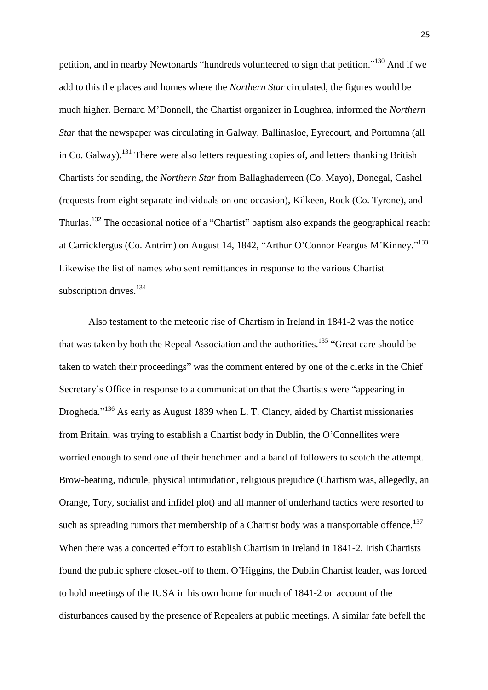petition, and in nearby Newtonards "hundreds volunteered to sign that petition."<sup>130</sup> And if we add to this the places and homes where the *Northern Star* circulated, the figures would be much higher. Bernard M'Donnell, the Chartist organizer in Loughrea, informed the *Northern Star* that the newspaper was circulating in Galway, Ballinasloe, Eyrecourt, and Portumna (all in Co. Galway).<sup>131</sup> There were also letters requesting copies of, and letters thanking British Chartists for sending, the *Northern Star* from Ballaghaderreen (Co. Mayo), Donegal, Cashel (requests from eight separate individuals on one occasion), Kilkeen, Rock (Co. Tyrone), and Thurlas.<sup>132</sup> The occasional notice of a "Chartist" baptism also expands the geographical reach: at Carrickfergus (Co. Antrim) on August 14, 1842, "Arthur O'Connor Feargus M'Kinney."<sup>133</sup> Likewise the list of names who sent remittances in response to the various Chartist subscription drives.<sup>134</sup>

Also testament to the meteoric rise of Chartism in Ireland in 1841-2 was the notice that was taken by both the Repeal Association and the authorities.<sup>135</sup> "Great care should be taken to watch their proceedings" was the comment entered by one of the clerks in the Chief Secretary's Office in response to a communication that the Chartists were "appearing in Drogheda."<sup>136</sup> As early as August 1839 when L. T. Clancy, aided by Chartist missionaries from Britain, was trying to establish a Chartist body in Dublin, the O'Connellites were worried enough to send one of their henchmen and a band of followers to scotch the attempt. Brow-beating, ridicule, physical intimidation, religious prejudice (Chartism was, allegedly, an Orange, Tory, socialist and infidel plot) and all manner of underhand tactics were resorted to such as spreading rumors that membership of a Chartist body was a transportable offence.<sup>137</sup> When there was a concerted effort to establish Chartism in Ireland in 1841-2, Irish Chartists found the public sphere closed-off to them. O'Higgins, the Dublin Chartist leader, was forced to hold meetings of the IUSA in his own home for much of 1841-2 on account of the disturbances caused by the presence of Repealers at public meetings. A similar fate befell the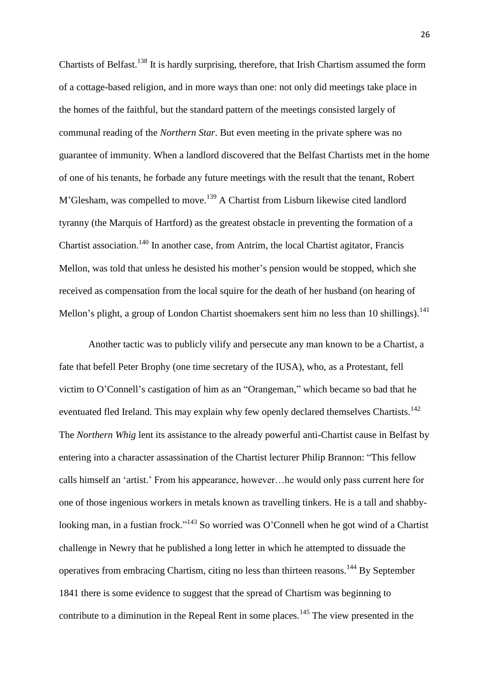Chartists of Belfast.<sup>138</sup> It is hardly surprising, therefore, that Irish Chartism assumed the form of a cottage-based religion, and in more ways than one: not only did meetings take place in the homes of the faithful, but the standard pattern of the meetings consisted largely of communal reading of the *Northern Star*. But even meeting in the private sphere was no guarantee of immunity. When a landlord discovered that the Belfast Chartists met in the home of one of his tenants, he forbade any future meetings with the result that the tenant, Robert M'Glesham, was compelled to move.<sup>139</sup> A Chartist from Lisburn likewise cited landlord tyranny (the Marquis of Hartford) as the greatest obstacle in preventing the formation of a Chartist association.<sup>140</sup> In another case, from Antrim, the local Chartist agitator, Francis Mellon, was told that unless he desisted his mother's pension would be stopped, which she received as compensation from the local squire for the death of her husband (on hearing of Mellon's plight, a group of London Chartist shoemakers sent him no less than 10 shillings).<sup>141</sup>

Another tactic was to publicly vilify and persecute any man known to be a Chartist, a fate that befell Peter Brophy (one time secretary of the IUSA), who, as a Protestant, fell victim to O'Connell's castigation of him as an "Orangeman," which became so bad that he eventuated fled Ireland. This may explain why few openly declared themselves Chartists.<sup>142</sup> The *Northern Whig* lent its assistance to the already powerful anti-Chartist cause in Belfast by entering into a character assassination of the Chartist lecturer Philip Brannon: "This fellow calls himself an 'artist.' From his appearance, however…he would only pass current here for one of those ingenious workers in metals known as travelling tinkers. He is a tall and shabbylooking man, in a fustian frock."<sup>143</sup> So worried was O'Connell when he got wind of a Chartist challenge in Newry that he published a long letter in which he attempted to dissuade the operatives from embracing Chartism, citing no less than thirteen reasons.<sup>144</sup> By September 1841 there is some evidence to suggest that the spread of Chartism was beginning to contribute to a diminution in the Repeal Rent in some places.<sup>145</sup> The view presented in the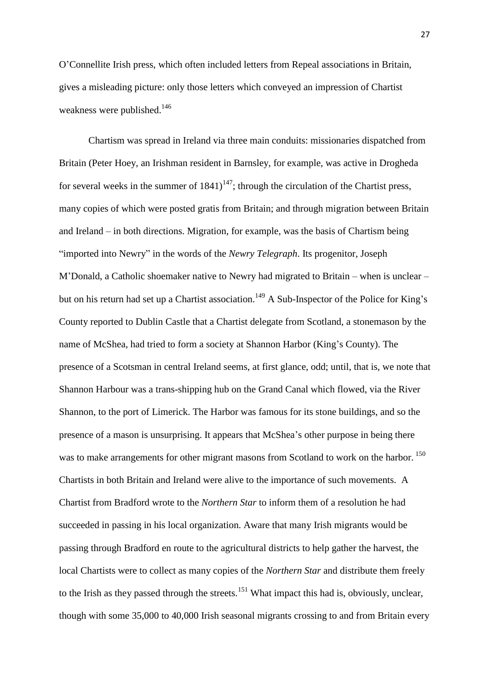O'Connellite Irish press, which often included letters from Repeal associations in Britain, gives a misleading picture: only those letters which conveyed an impression of Chartist weakness were published.<sup>146</sup>

Chartism was spread in Ireland via three main conduits: missionaries dispatched from Britain (Peter Hoey, an Irishman resident in Barnsley, for example, was active in Drogheda for several weeks in the summer of  $1841$ <sup> $147$ </sup>; through the circulation of the Chartist press, many copies of which were posted gratis from Britain; and through migration between Britain and Ireland – in both directions. Migration, for example, was the basis of Chartism being "imported into Newry" in the words of the *Newry Telegraph*. Its progenitor, Joseph M'Donald, a Catholic shoemaker native to Newry had migrated to Britain – when is unclear – but on his return had set up a Chartist association.<sup>149</sup> A Sub-Inspector of the Police for King's County reported to Dublin Castle that a Chartist delegate from Scotland, a stonemason by the name of McShea, had tried to form a society at Shannon Harbor (King's County). The presence of a Scotsman in central Ireland seems, at first glance, odd; until, that is, we note that Shannon Harbour was a trans-shipping hub on the Grand Canal which flowed, via the River Shannon, to the port of Limerick. The Harbor was famous for its stone buildings, and so the presence of a mason is unsurprising. It appears that McShea's other purpose in being there was to make arrangements for other migrant masons from Scotland to work on the harbor.<sup>150</sup> Chartists in both Britain and Ireland were alive to the importance of such movements. A Chartist from Bradford wrote to the *Northern Star* to inform them of a resolution he had succeeded in passing in his local organization. Aware that many Irish migrants would be passing through Bradford en route to the agricultural districts to help gather the harvest, the local Chartists were to collect as many copies of the *Northern Star* and distribute them freely to the Irish as they passed through the streets.<sup>151</sup> What impact this had is, obviously, unclear, though with some 35,000 to 40,000 Irish seasonal migrants crossing to and from Britain every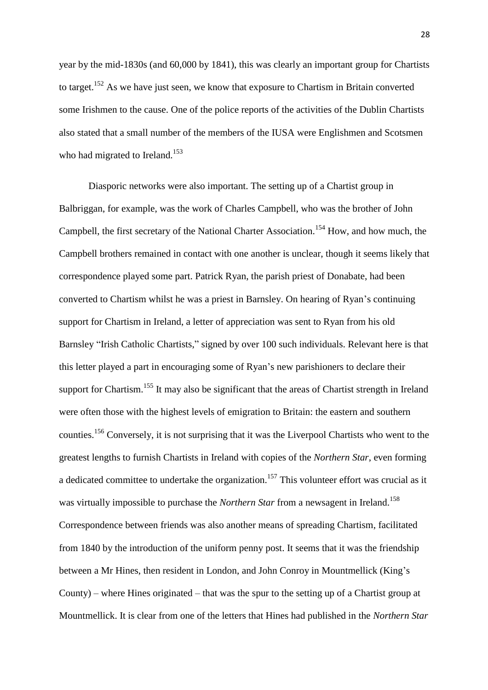year by the mid-1830s (and 60,000 by 1841), this was clearly an important group for Chartists to target.<sup>152</sup> As we have just seen, we know that exposure to Chartism in Britain converted some Irishmen to the cause. One of the police reports of the activities of the Dublin Chartists also stated that a small number of the members of the IUSA were Englishmen and Scotsmen who had migrated to Ireland.<sup>153</sup>

Diasporic networks were also important. The setting up of a Chartist group in Balbriggan, for example, was the work of Charles Campbell, who was the brother of John Campbell, the first secretary of the National Charter Association.<sup>154</sup> How, and how much, the Campbell brothers remained in contact with one another is unclear, though it seems likely that correspondence played some part. Patrick Ryan, the parish priest of Donabate, had been converted to Chartism whilst he was a priest in Barnsley. On hearing of Ryan's continuing support for Chartism in Ireland, a letter of appreciation was sent to Ryan from his old Barnsley "Irish Catholic Chartists," signed by over 100 such individuals. Relevant here is that this letter played a part in encouraging some of Ryan's new parishioners to declare their support for Chartism.<sup>155</sup> It may also be significant that the areas of Chartist strength in Ireland were often those with the highest levels of emigration to Britain: the eastern and southern counties.<sup>156</sup> Conversely, it is not surprising that it was the Liverpool Chartists who went to the greatest lengths to furnish Chartists in Ireland with copies of the *Northern Star*, even forming a dedicated committee to undertake the organization.<sup>157</sup> This volunteer effort was crucial as it was virtually impossible to purchase the *Northern Star* from a newsagent in Ireland.<sup>158</sup> Correspondence between friends was also another means of spreading Chartism, facilitated from 1840 by the introduction of the uniform penny post. It seems that it was the friendship between a Mr Hines, then resident in London, and John Conroy in Mountmellick (King's County) – where Hines originated – that was the spur to the setting up of a Chartist group at Mountmellick. It is clear from one of the letters that Hines had published in the *Northern Star*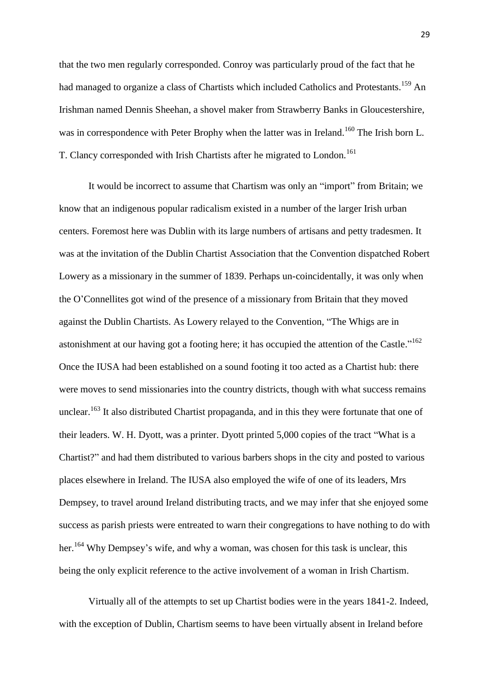that the two men regularly corresponded. Conroy was particularly proud of the fact that he had managed to organize a class of Chartists which included Catholics and Protestants.<sup>159</sup> An Irishman named Dennis Sheehan, a shovel maker from Strawberry Banks in Gloucestershire, was in correspondence with Peter Brophy when the latter was in Ireland.<sup>160</sup> The Irish born L. T. Clancy corresponded with Irish Chartists after he migrated to London.<sup>161</sup>

It would be incorrect to assume that Chartism was only an "import" from Britain; we know that an indigenous popular radicalism existed in a number of the larger Irish urban centers. Foremost here was Dublin with its large numbers of artisans and petty tradesmen. It was at the invitation of the Dublin Chartist Association that the Convention dispatched Robert Lowery as a missionary in the summer of 1839. Perhaps un-coincidentally, it was only when the O'Connellites got wind of the presence of a missionary from Britain that they moved against the Dublin Chartists. As Lowery relayed to the Convention, "The Whigs are in astonishment at our having got a footing here; it has occupied the attention of the Castle."<sup>162</sup> Once the IUSA had been established on a sound footing it too acted as a Chartist hub: there were moves to send missionaries into the country districts, though with what success remains unclear.<sup>163</sup> It also distributed Chartist propaganda, and in this they were fortunate that one of their leaders. W. H. Dyott, was a printer. Dyott printed 5,000 copies of the tract "What is a Chartist?" and had them distributed to various barbers shops in the city and posted to various places elsewhere in Ireland. The IUSA also employed the wife of one of its leaders, Mrs Dempsey, to travel around Ireland distributing tracts, and we may infer that she enjoyed some success as parish priests were entreated to warn their congregations to have nothing to do with her.<sup>164</sup> Why Dempsey's wife, and why a woman, was chosen for this task is unclear, this being the only explicit reference to the active involvement of a woman in Irish Chartism.

Virtually all of the attempts to set up Chartist bodies were in the years 1841-2. Indeed, with the exception of Dublin, Chartism seems to have been virtually absent in Ireland before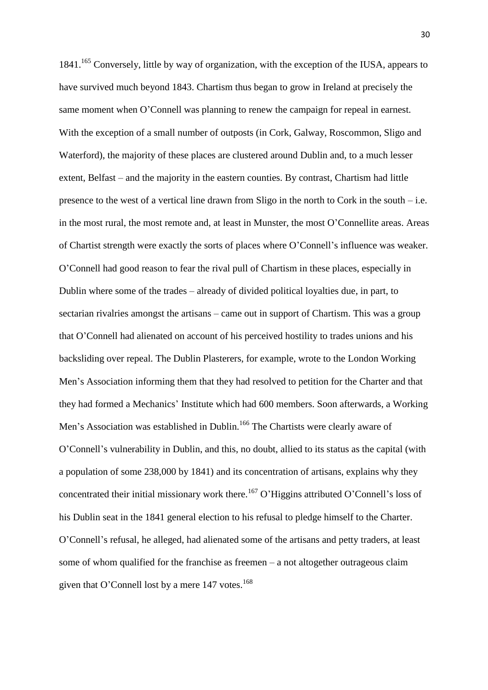1841.<sup>165</sup> Conversely, little by way of organization, with the exception of the IUSA, appears to have survived much beyond 1843. Chartism thus began to grow in Ireland at precisely the same moment when O'Connell was planning to renew the campaign for repeal in earnest. With the exception of a small number of outposts (in Cork, Galway, Roscommon, Sligo and Waterford), the majority of these places are clustered around Dublin and, to a much lesser extent, Belfast – and the majority in the eastern counties. By contrast, Chartism had little presence to the west of a vertical line drawn from Sligo in the north to Cork in the south – i.e. in the most rural, the most remote and, at least in Munster, the most O'Connellite areas. Areas of Chartist strength were exactly the sorts of places where O'Connell's influence was weaker. O'Connell had good reason to fear the rival pull of Chartism in these places, especially in Dublin where some of the trades – already of divided political loyalties due, in part, to sectarian rivalries amongst the artisans – came out in support of Chartism. This was a group that O'Connell had alienated on account of his perceived hostility to trades unions and his backsliding over repeal. The Dublin Plasterers, for example, wrote to the London Working Men's Association informing them that they had resolved to petition for the Charter and that they had formed a Mechanics' Institute which had 600 members. Soon afterwards, a Working Men's Association was established in Dublin.<sup>166</sup> The Chartists were clearly aware of O'Connell's vulnerability in Dublin, and this, no doubt, allied to its status as the capital (with a population of some 238,000 by 1841) and its concentration of artisans, explains why they concentrated their initial missionary work there.<sup>167</sup> O'Higgins attributed O'Connell's loss of his Dublin seat in the 1841 general election to his refusal to pledge himself to the Charter. O'Connell's refusal, he alleged, had alienated some of the artisans and petty traders, at least some of whom qualified for the franchise as freemen – a not altogether outrageous claim given that O'Connell lost by a mere  $147$  votes.<sup>168</sup>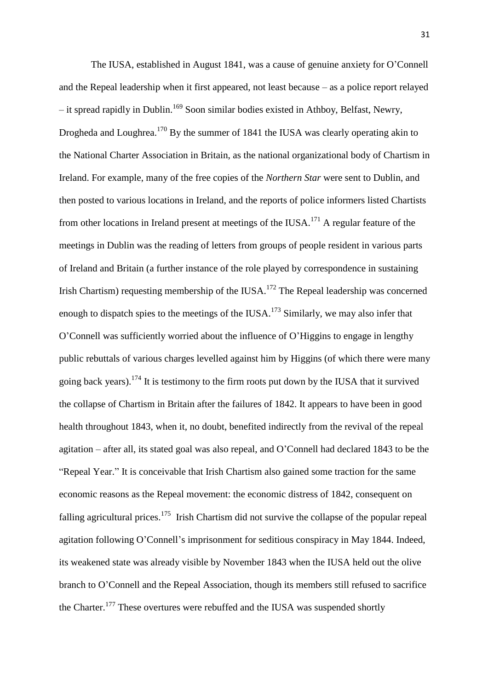The IUSA, established in August 1841, was a cause of genuine anxiety for O'Connell and the Repeal leadership when it first appeared, not least because – as a police report relayed  $-$  it spread rapidly in Dublin.<sup>169</sup> Soon similar bodies existed in Athboy, Belfast, Newry, Drogheda and Loughrea.<sup>170</sup> By the summer of 1841 the IUSA was clearly operating akin to the National Charter Association in Britain, as the national organizational body of Chartism in Ireland. For example, many of the free copies of the *Northern Star* were sent to Dublin, and then posted to various locations in Ireland, and the reports of police informers listed Chartists from other locations in Ireland present at meetings of the IUSA.<sup>171</sup> A regular feature of the meetings in Dublin was the reading of letters from groups of people resident in various parts of Ireland and Britain (a further instance of the role played by correspondence in sustaining Irish Chartism) requesting membership of the IUSA.<sup>172</sup> The Repeal leadership was concerned enough to dispatch spies to the meetings of the IUSA.<sup>173</sup> Similarly, we may also infer that O'Connell was sufficiently worried about the influence of O'Higgins to engage in lengthy public rebuttals of various charges levelled against him by Higgins (of which there were many going back years).<sup>174</sup> It is testimony to the firm roots put down by the IUSA that it survived the collapse of Chartism in Britain after the failures of 1842. It appears to have been in good health throughout 1843, when it, no doubt, benefited indirectly from the revival of the repeal agitation – after all, its stated goal was also repeal, and O'Connell had declared 1843 to be the "Repeal Year." It is conceivable that Irish Chartism also gained some traction for the same economic reasons as the Repeal movement: the economic distress of 1842, consequent on falling agricultural prices.<sup>175</sup> Irish Chartism did not survive the collapse of the popular repeal agitation following O'Connell's imprisonment for seditious conspiracy in May 1844. Indeed, its weakened state was already visible by November 1843 when the IUSA held out the olive branch to O'Connell and the Repeal Association, though its members still refused to sacrifice the Charter.<sup>177</sup> These overtures were rebuffed and the IUSA was suspended shortly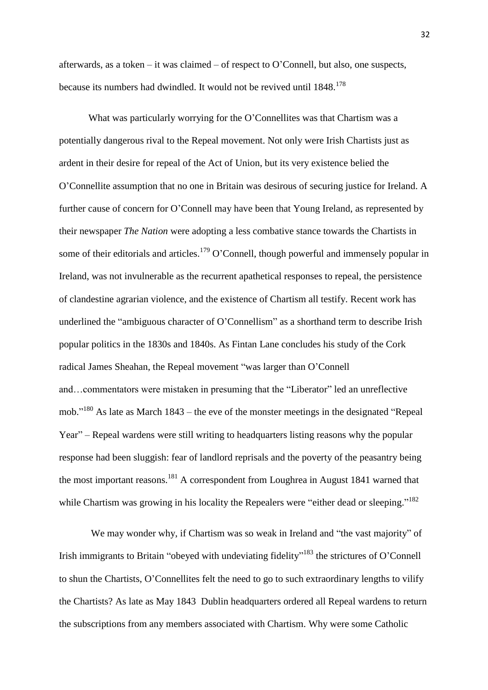afterwards, as a token – it was claimed – of respect to O'Connell, but also, one suspects, because its numbers had dwindled. It would not be revived until 1848.<sup>178</sup>

What was particularly worrying for the O'Connellites was that Chartism was a potentially dangerous rival to the Repeal movement. Not only were Irish Chartists just as ardent in their desire for repeal of the Act of Union, but its very existence belied the O'Connellite assumption that no one in Britain was desirous of securing justice for Ireland. A further cause of concern for O'Connell may have been that Young Ireland, as represented by their newspaper *The Nation* were adopting a less combative stance towards the Chartists in some of their editorials and articles.<sup>179</sup> O'Connell, though powerful and immensely popular in Ireland, was not invulnerable as the recurrent apathetical responses to repeal, the persistence of clandestine agrarian violence, and the existence of Chartism all testify. Recent work has underlined the "ambiguous character of O'Connellism" as a shorthand term to describe Irish popular politics in the 1830s and 1840s. As Fintan Lane concludes his study of the Cork radical James Sheahan, the Repeal movement "was larger than O'Connell and…commentators were mistaken in presuming that the "Liberator" led an unreflective mob."<sup>180</sup> As late as March 1843 – the eve of the monster meetings in the designated "Repeal Year" – Repeal wardens were still writing to headquarters listing reasons why the popular response had been sluggish: fear of landlord reprisals and the poverty of the peasantry being the most important reasons.<sup>181</sup> A correspondent from Loughrea in August 1841 warned that while Chartism was growing in his locality the Repealers were "either dead or sleeping."<sup>182</sup>

We may wonder why, if Chartism was so weak in Ireland and "the vast majority" of Irish immigrants to Britain "obeyed with undeviating fidelity"<sup>183</sup> the strictures of O'Connell to shun the Chartists, O'Connellites felt the need to go to such extraordinary lengths to vilify the Chartists? As late as May 1843 Dublin headquarters ordered all Repeal wardens to return the subscriptions from any members associated with Chartism. Why were some Catholic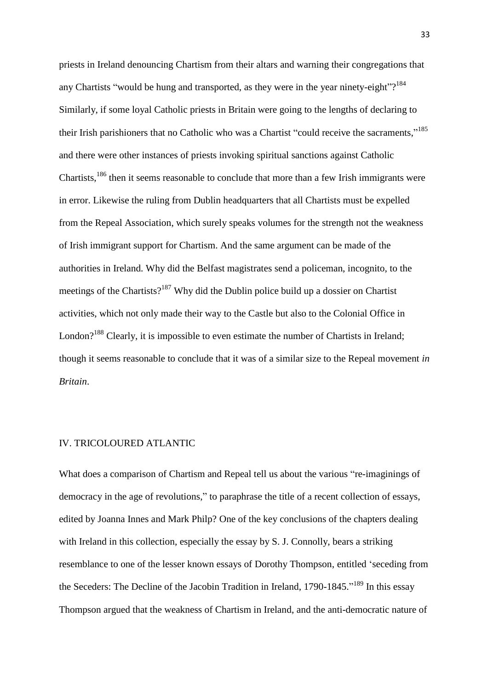priests in Ireland denouncing Chartism from their altars and warning their congregations that any Chartists "would be hung and transported, as they were in the year ninety-eight"?<sup>184</sup> Similarly, if some loyal Catholic priests in Britain were going to the lengths of declaring to their Irish parishioners that no Catholic who was a Chartist "could receive the sacraments,"<sup>185</sup> and there were other instances of priests invoking spiritual sanctions against Catholic Chartists,<sup>186</sup> then it seems reasonable to conclude that more than a few Irish immigrants were in error. Likewise the ruling from Dublin headquarters that all Chartists must be expelled from the Repeal Association, which surely speaks volumes for the strength not the weakness of Irish immigrant support for Chartism. And the same argument can be made of the authorities in Ireland. Why did the Belfast magistrates send a policeman, incognito, to the meetings of the Chartists?<sup>187</sup> Why did the Dublin police build up a dossier on Chartist activities, which not only made their way to the Castle but also to the Colonial Office in London?<sup>188</sup> Clearly, it is impossible to even estimate the number of Chartists in Ireland; though it seems reasonable to conclude that it was of a similar size to the Repeal movement *in Britain*.

#### IV. TRICOLOURED ATLANTIC

What does a comparison of Chartism and Repeal tell us about the various "re-imaginings of democracy in the age of revolutions," to paraphrase the title of a recent collection of essays, edited by Joanna Innes and Mark Philp? One of the key conclusions of the chapters dealing with Ireland in this collection, especially the essay by S. J. Connolly, bears a striking resemblance to one of the lesser known essays of Dorothy Thompson, entitled 'seceding from the Seceders: The Decline of the Jacobin Tradition in Ireland, 1790-1845."<sup>189</sup> In this essay Thompson argued that the weakness of Chartism in Ireland, and the anti-democratic nature of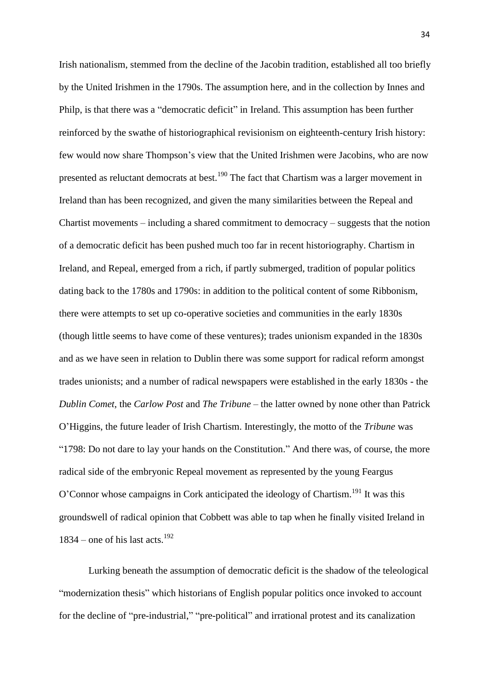Irish nationalism, stemmed from the decline of the Jacobin tradition, established all too briefly by the United Irishmen in the 1790s. The assumption here, and in the collection by Innes and Philp, is that there was a "democratic deficit" in Ireland. This assumption has been further reinforced by the swathe of historiographical revisionism on eighteenth-century Irish history: few would now share Thompson's view that the United Irishmen were Jacobins, who are now presented as reluctant democrats at best.<sup>190</sup> The fact that Chartism was a larger movement in Ireland than has been recognized, and given the many similarities between the Repeal and Chartist movements – including a shared commitment to democracy – suggests that the notion of a democratic deficit has been pushed much too far in recent historiography. Chartism in Ireland, and Repeal, emerged from a rich, if partly submerged, tradition of popular politics dating back to the 1780s and 1790s: in addition to the political content of some Ribbonism, there were attempts to set up co-operative societies and communities in the early 1830s (though little seems to have come of these ventures); trades unionism expanded in the 1830s and as we have seen in relation to Dublin there was some support for radical reform amongst trades unionists; and a number of radical newspapers were established in the early 1830s - the *Dublin Comet*, the *Carlow Post* and *The Tribune* – the latter owned by none other than Patrick O'Higgins, the future leader of Irish Chartism. Interestingly, the motto of the *Tribune* was "1798: Do not dare to lay your hands on the Constitution." And there was, of course, the more radical side of the embryonic Repeal movement as represented by the young Feargus O'Connor whose campaigns in Cork anticipated the ideology of Chartism.<sup>191</sup> It was this groundswell of radical opinion that Cobbett was able to tap when he finally visited Ireland in  $1834$  – one of his last acts.<sup>192</sup>

Lurking beneath the assumption of democratic deficit is the shadow of the teleological "modernization thesis" which historians of English popular politics once invoked to account for the decline of "pre-industrial," "pre-political" and irrational protest and its canalization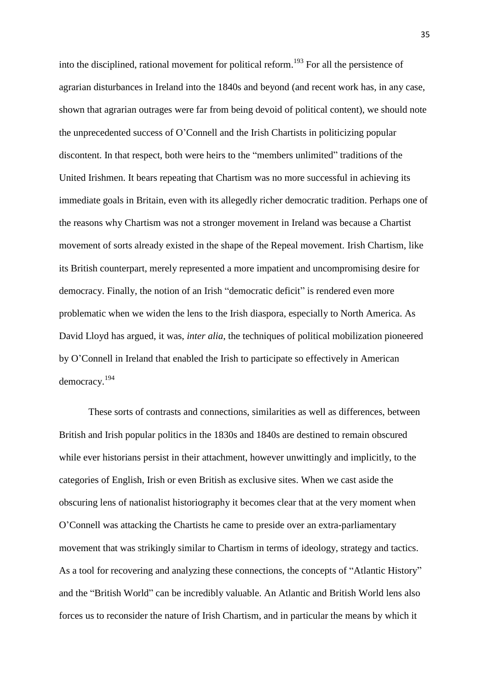into the disciplined, rational movement for political reform. <sup>193</sup> For all the persistence of agrarian disturbances in Ireland into the 1840s and beyond (and recent work has, in any case, shown that agrarian outrages were far from being devoid of political content), we should note the unprecedented success of O'Connell and the Irish Chartists in politicizing popular discontent. In that respect, both were heirs to the "members unlimited" traditions of the United Irishmen. It bears repeating that Chartism was no more successful in achieving its immediate goals in Britain, even with its allegedly richer democratic tradition. Perhaps one of the reasons why Chartism was not a stronger movement in Ireland was because a Chartist movement of sorts already existed in the shape of the Repeal movement. Irish Chartism, like its British counterpart, merely represented a more impatient and uncompromising desire for democracy. Finally, the notion of an Irish "democratic deficit" is rendered even more problematic when we widen the lens to the Irish diaspora, especially to North America. As David Lloyd has argued, it was, *inter alia*, the techniques of political mobilization pioneered by O'Connell in Ireland that enabled the Irish to participate so effectively in American democracy.<sup>194</sup>

These sorts of contrasts and connections, similarities as well as differences, between British and Irish popular politics in the 1830s and 1840s are destined to remain obscured while ever historians persist in their attachment, however unwittingly and implicitly, to the categories of English, Irish or even British as exclusive sites. When we cast aside the obscuring lens of nationalist historiography it becomes clear that at the very moment when O'Connell was attacking the Chartists he came to preside over an extra-parliamentary movement that was strikingly similar to Chartism in terms of ideology, strategy and tactics. As a tool for recovering and analyzing these connections, the concepts of "Atlantic History" and the "British World" can be incredibly valuable. An Atlantic and British World lens also forces us to reconsider the nature of Irish Chartism, and in particular the means by which it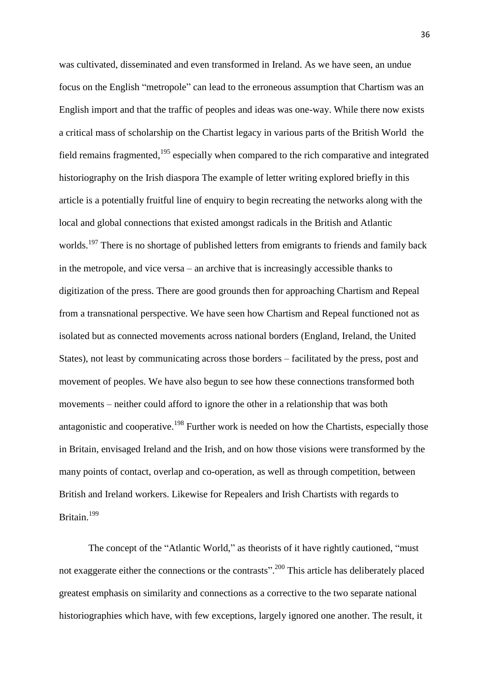was cultivated, disseminated and even transformed in Ireland. As we have seen, an undue focus on the English "metropole" can lead to the erroneous assumption that Chartism was an English import and that the traffic of peoples and ideas was one-way. While there now exists a critical mass of scholarship on the Chartist legacy in various parts of the British World the field remains fragmented, $195$  especially when compared to the rich comparative and integrated historiography on the Irish diaspora The example of letter writing explored briefly in this article is a potentially fruitful line of enquiry to begin recreating the networks along with the local and global connections that existed amongst radicals in the British and Atlantic worlds.<sup>197</sup> There is no shortage of published letters from emigrants to friends and family back in the metropole, and vice versa – an archive that is increasingly accessible thanks to digitization of the press. There are good grounds then for approaching Chartism and Repeal from a transnational perspective. We have seen how Chartism and Repeal functioned not as isolated but as connected movements across national borders (England, Ireland, the United States), not least by communicating across those borders – facilitated by the press, post and movement of peoples. We have also begun to see how these connections transformed both movements – neither could afford to ignore the other in a relationship that was both antagonistic and cooperative.<sup>198</sup> Further work is needed on how the Chartists, especially those in Britain, envisaged Ireland and the Irish, and on how those visions were transformed by the many points of contact, overlap and co-operation, as well as through competition, between British and Ireland workers. Likewise for Repealers and Irish Chartists with regards to Britain.<sup>199</sup>

The concept of the "Atlantic World," as theorists of it have rightly cautioned, "must not exaggerate either the connections or the contrasts".<sup>200</sup> This article has deliberately placed greatest emphasis on similarity and connections as a corrective to the two separate national historiographies which have, with few exceptions, largely ignored one another. The result, it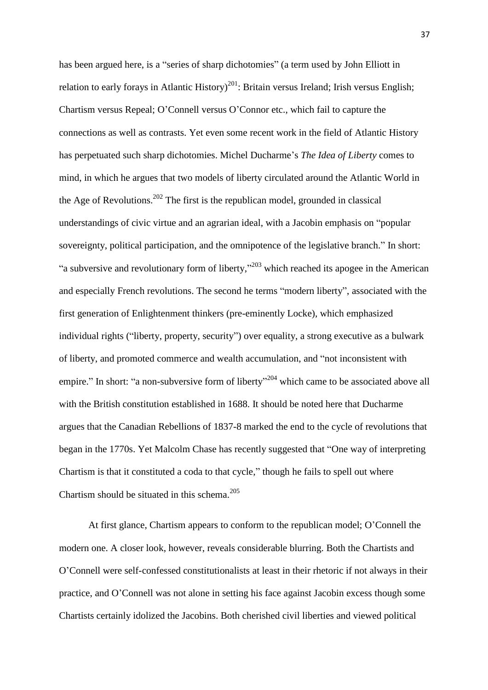has been argued here, is a "series of sharp dichotomies" (a term used by John Elliott in relation to early forays in Atlantic History)<sup>201</sup>: Britain versus Ireland; Irish versus English; Chartism versus Repeal; O'Connell versus O'Connor etc., which fail to capture the connections as well as contrasts. Yet even some recent work in the field of Atlantic History has perpetuated such sharp dichotomies. Michel Ducharme's *The Idea of Liberty* comes to mind, in which he argues that two models of liberty circulated around the Atlantic World in the Age of Revolutions.<sup>202</sup> The first is the republican model, grounded in classical understandings of civic virtue and an agrarian ideal, with a Jacobin emphasis on "popular sovereignty, political participation, and the omnipotence of the legislative branch." In short: "a subversive and revolutionary form of liberty,"<sup>203</sup> which reached its apogee in the American and especially French revolutions. The second he terms "modern liberty", associated with the first generation of Enlightenment thinkers (pre-eminently Locke), which emphasized individual rights ("liberty, property, security") over equality, a strong executive as a bulwark of liberty, and promoted commerce and wealth accumulation, and "not inconsistent with empire." In short: "a non-subversive form of liberty"<sup>204</sup> which came to be associated above all with the British constitution established in 1688. It should be noted here that Ducharme argues that the Canadian Rebellions of 1837-8 marked the end to the cycle of revolutions that began in the 1770s. Yet Malcolm Chase has recently suggested that "One way of interpreting Chartism is that it constituted a coda to that cycle," though he fails to spell out where Chartism should be situated in this schema.<sup>205</sup>

At first glance, Chartism appears to conform to the republican model; O'Connell the modern one. A closer look, however, reveals considerable blurring. Both the Chartists and O'Connell were self-confessed constitutionalists at least in their rhetoric if not always in their practice, and O'Connell was not alone in setting his face against Jacobin excess though some Chartists certainly idolized the Jacobins. Both cherished civil liberties and viewed political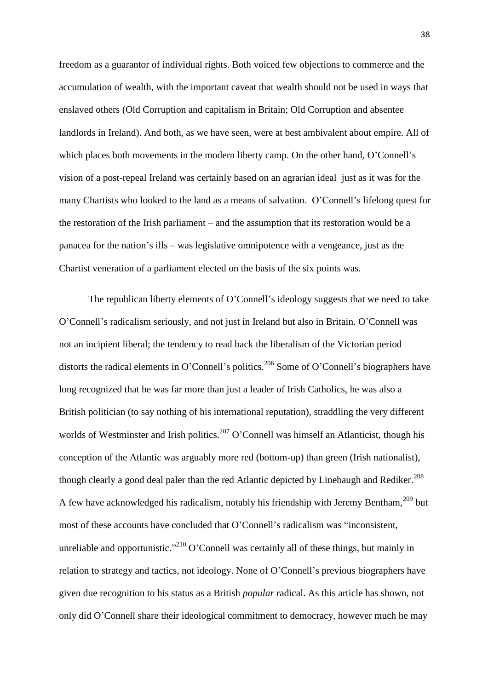freedom as a guarantor of individual rights. Both voiced few objections to commerce and the accumulation of wealth, with the important caveat that wealth should not be used in ways that enslaved others (Old Corruption and capitalism in Britain; Old Corruption and absentee landlords in Ireland). And both, as we have seen, were at best ambivalent about empire. All of which places both movements in the modern liberty camp. On the other hand, O'Connell's vision of a post-repeal Ireland was certainly based on an agrarian ideal just as it was for the many Chartists who looked to the land as a means of salvation. O'Connell's lifelong quest for the restoration of the Irish parliament – and the assumption that its restoration would be a panacea for the nation's ills – was legislative omnipotence with a vengeance, just as the Chartist veneration of a parliament elected on the basis of the six points was.

The republican liberty elements of O'Connell's ideology suggests that we need to take O'Connell's radicalism seriously, and not just in Ireland but also in Britain. O'Connell was not an incipient liberal; the tendency to read back the liberalism of the Victorian period distorts the radical elements in O'Connell's politics.<sup>206</sup> Some of O'Connell's biographers have long recognized that he was far more than just a leader of Irish Catholics, he was also a British politician (to say nothing of his international reputation), straddling the very different worlds of Westminster and Irish politics.<sup>207</sup> O'Connell was himself an Atlanticist, though his conception of the Atlantic was arguably more red (bottom-up) than green (Irish nationalist), though clearly a good deal paler than the red Atlantic depicted by Linebaugh and Rediker.<sup>208</sup> A few have acknowledged his radicalism, notably his friendship with Jeremy Bentham,<sup>209</sup> but most of these accounts have concluded that O'Connell's radicalism was "inconsistent, unreliable and opportunistic."<sup>210</sup> O'Connell was certainly all of these things, but mainly in relation to strategy and tactics, not ideology. None of O'Connell's previous biographers have given due recognition to his status as a British *popular* radical. As this article has shown, not only did O'Connell share their ideological commitment to democracy, however much he may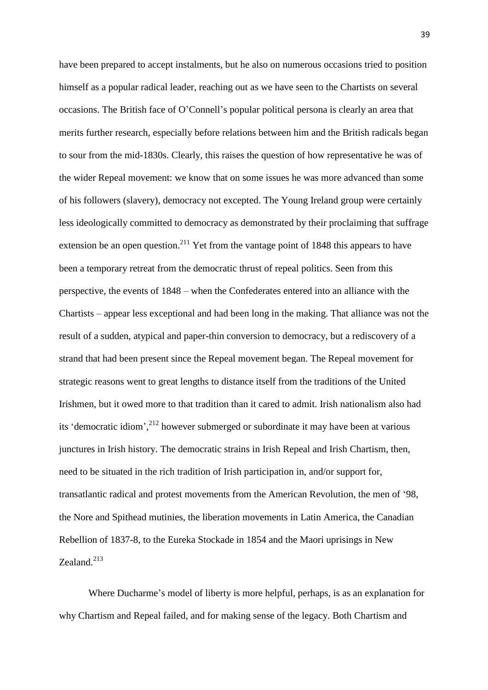have been prepared to accept instalments, but he also on numerous occasions tried to position himself as a popular radical leader, reaching out as we have seen to the Chartists on several occasions. The British face of O'Connell's popular political persona is clearly an area that merits further research, especially before relations between him and the British radicals began to sour from the mid-1830s. Clearly, this raises the question of how representative he was of the wider Repeal movement: we know that on some issues he was more advanced than some of his followers (slavery), democracy not excepted. The Young Ireland group were certainly less ideologically committed to democracy as demonstrated by their proclaiming that suffrage extension be an open question.<sup>211</sup> Yet from the vantage point of 1848 this appears to have been a temporary retreat from the democratic thrust of repeal politics. Seen from this perspective, the events of 1848 – when the Confederates entered into an alliance with the Chartists – appear less exceptional and had been long in the making. That alliance was not the result of a sudden, atypical and paper-thin conversion to democracy, but a rediscovery of a strand that had been present since the Repeal movement began. The Repeal movement for strategic reasons went to great lengths to distance itself from the traditions of the United Irishmen, but it owed more to that tradition than it cared to admit. Irish nationalism also had its 'democratic idiom', <sup>212</sup> however submerged or subordinate it may have been at various junctures in Irish history. The democratic strains in Irish Repeal and Irish Chartism, then, need to be situated in the rich tradition of Irish participation in, and/or support for, transatlantic radical and protest movements from the American Revolution, the men of '98, the Nore and Spithead mutinies, the liberation movements in Latin America, the Canadian Rebellion of 1837-8, to the Eureka Stockade in 1854 and the Maori uprisings in New Zealand.<sup>213</sup>

Where Ducharme's model of liberty is more helpful, perhaps, is as an explanation for why Chartism and Repeal failed, and for making sense of the legacy. Both Chartism and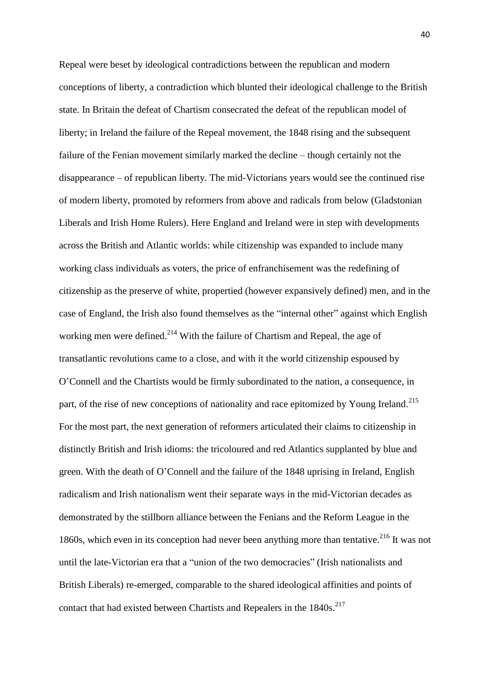Repeal were beset by ideological contradictions between the republican and modern conceptions of liberty, a contradiction which blunted their ideological challenge to the British state. In Britain the defeat of Chartism consecrated the defeat of the republican model of liberty; in Ireland the failure of the Repeal movement, the 1848 rising and the subsequent failure of the Fenian movement similarly marked the decline – though certainly not the disappearance – of republican liberty. The mid-Victorians years would see the continued rise of modern liberty, promoted by reformers from above and radicals from below (Gladstonian Liberals and Irish Home Rulers). Here England and Ireland were in step with developments across the British and Atlantic worlds: while citizenship was expanded to include many working class individuals as voters, the price of enfranchisement was the redefining of citizenship as the preserve of white, propertied (however expansively defined) men, and in the case of England, the Irish also found themselves as the "internal other" against which English working men were defined.<sup>214</sup> With the failure of Chartism and Repeal, the age of transatlantic revolutions came to a close, and with it the world citizenship espoused by O'Connell and the Chartists would be firmly subordinated to the nation, a consequence, in part, of the rise of new conceptions of nationality and race epitomized by Young Ireland.<sup>215</sup> For the most part, the next generation of reformers articulated their claims to citizenship in distinctly British and Irish idioms: the tricoloured and red Atlantics supplanted by blue and green. With the death of O'Connell and the failure of the 1848 uprising in Ireland, English radicalism and Irish nationalism went their separate ways in the mid-Victorian decades as demonstrated by the stillborn alliance between the Fenians and the Reform League in the 1860s, which even in its conception had never been anything more than tentative. <sup>216</sup> It was not until the late-Victorian era that a "union of the two democracies" (Irish nationalists and British Liberals) re-emerged, comparable to the shared ideological affinities and points of contact that had existed between Chartists and Repealers in the  $1840s$ .<sup>217</sup>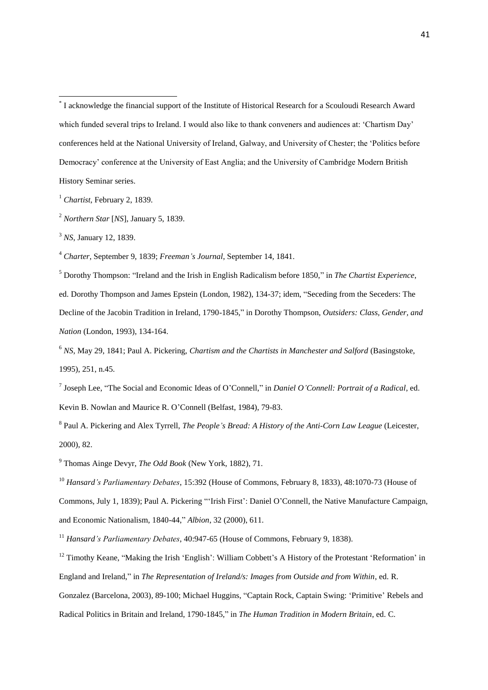<sup>4</sup> *Charter*, September 9, 1839; *Freeman's Journal*, September 14, 1841.

<sup>5</sup> Dorothy Thompson: "Ireland and the Irish in English Radicalism before 1850," in *The Chartist Experience*, ed. Dorothy Thompson and James Epstein (London, 1982), 134-37; idem, "Seceding from the Seceders: The Decline of the Jacobin Tradition in Ireland, 1790-1845," in Dorothy Thompson, *Outsiders: Class, Gender, and Nation* (London, 1993), 134-164.

7 Joseph Lee, "The Social and Economic Ideas of O'Connell," in *Daniel O'Connell: Portrait of a Radical*, ed. Kevin B. Nowlan and Maurice R. O'Connell (Belfast, 1984), 79-83.

<sup>8</sup> Paul A. Pickering and Alex Tyrrell, *The People's Bread: A History of the Anti-Corn Law League* (Leicester, 2000), 82.

<sup>9</sup> Thomas Ainge Devyr, *The Odd Book* (New York, 1882), 71.

<sup>10</sup> *Hansard's Parliamentary Debates*, 15:392 (House of Commons, February 8, 1833), 48:1070-73 (House of Commons, July 1, 1839); Paul A. Pickering "'Irish First': Daniel O'Connell, the Native Manufacture Campaign, and Economic Nationalism, 1840-44," *Albion*, 32 (2000), 611.

<sup>11</sup> *Hansard's Parliamentary Debates*, 40:947-65 (House of Commons, February 9, 1838).

<sup>12</sup> Timothy Keane, "Making the Irish 'English': William Cobbett's A History of the Protestant 'Reformation' in England and Ireland," in *The Representation of Ireland/s: Images from Outside and from Within*, ed. R. Gonzalez (Barcelona, 2003), 89-100; Michael Huggins, "Captain Rock, Captain Swing: 'Primitive' Rebels and Radical Politics in Britain and Ireland, 1790-1845," in *The Human Tradition in Modern Britain*, ed. C.

 \* I acknowledge the financial support of the Institute of Historical Research for a Scouloudi Research Award which funded several trips to Ireland. I would also like to thank conveners and audiences at: 'Chartism Day' conferences held at the National University of Ireland, Galway, and University of Chester; the 'Politics before Democracy' conference at the University of East Anglia; and the University of Cambridge Modern British History Seminar series.

<sup>1</sup> *Chartist*, February 2, 1839.

<sup>2</sup> *Northern Star* [*NS*], January 5, 1839.

<sup>3</sup> *NS*, January 12, 1839.

<sup>6</sup> *NS*, May 29, 1841; Paul A. Pickering, *Chartism and the Chartists in Manchester and Salford* (Basingstoke, 1995), 251, n.45.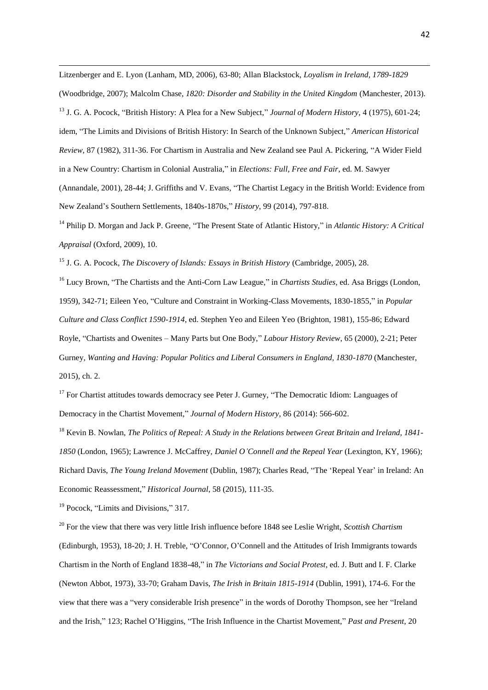Litzenberger and E. Lyon (Lanham, MD, 2006), 63-80; Allan Blackstock, *Loyalism in Ireland, 1789-1829*  (Woodbridge, 2007); Malcolm Chase, *1820: Disorder and Stability in the United Kingdom* (Manchester, 2013). <sup>13</sup> J. G. A. Pocock, "British History: A Plea for a New Subject," *Journal of Modern History*, 4 (1975), 601-24; idem, "The Limits and Divisions of British History: In Search of the Unknown Subject," *American Historical Review*, 87 (1982), 311-36. For Chartism in Australia and New Zealand see Paul A. Pickering, "A Wider Field in a New Country: Chartism in Colonial Australia," in *Elections: Full, Free and Fair*, ed. M. Sawyer (Annandale, 2001), 28-44; J. Griffiths and V. Evans, "The Chartist Legacy in the British World: Evidence from New Zealand's Southern Settlements, 1840s-1870s," *History*, 99 (2014), 797-818.

<sup>14</sup> Philip D. Morgan and Jack P. Greene, "The Present State of Atlantic History," in *Atlantic History: A Critical Appraisal* (Oxford, 2009), 10.

<sup>15</sup> J. G. A. Pocock, *The Discovery of Islands: Essays in British History* (Cambridge, 2005), 28.

<sup>16</sup> Lucy Brown, "The Chartists and the Anti-Corn Law League," in *Chartists Studies*, ed. Asa Briggs (London, 1959), 342-71; Eileen Yeo, "Culture and Constraint in Working-Class Movements, 1830-1855," in *Popular Culture and Class Conflict 1590-1914*, ed. Stephen Yeo and Eileen Yeo (Brighton, 1981), 155-86; Edward Royle, "Chartists and Owenites – Many Parts but One Body," *Labour History Review*, 65 (2000), 2-21; Peter Gurney, *Wanting and Having: Popular Politics and Liberal Consumers in England, 1830-1870* (Manchester, 2015), ch. 2.

<sup>17</sup> For Chartist attitudes towards democracy see Peter J. Gurney, "The Democratic Idiom: Languages of Democracy in the Chartist Movement," *Journal of Modern History*, 86 (2014): 566-602.

<sup>18</sup> Kevin B. Nowlan, *The Politics of Repeal: A Study in the Relations between Great Britain and Ireland, 1841- 1850* (London, 1965); Lawrence J. McCaffrey, *Daniel O'Connell and the Repeal Year* (Lexington, KY, 1966); Richard Davis, *The Young Ireland Movement* (Dublin, 1987); Charles Read, "The 'Repeal Year' in Ireland: An Economic Reassessment," *Historical Journal*, 58 (2015), 111-35.

<sup>19</sup> Pocock, "Limits and Divisions," 317.

1

<sup>20</sup> For the view that there was very little Irish influence before 1848 see Leslie Wright, *Scottish Chartism*  (Edinburgh, 1953), 18-20; J. H. Treble, "O'Connor, O'Connell and the Attitudes of Irish Immigrants towards Chartism in the North of England 1838-48," in *The Victorians and Social Protest*, ed. J. Butt and I. F. Clarke (Newton Abbot, 1973), 33-70; Graham Davis, *The Irish in Britain 1815-1914* (Dublin, 1991), 174-6. For the view that there was a "very considerable Irish presence" in the words of Dorothy Thompson, see her "Ireland and the Irish," 123; Rachel O'Higgins, "The Irish Influence in the Chartist Movement," *Past and Present*, 20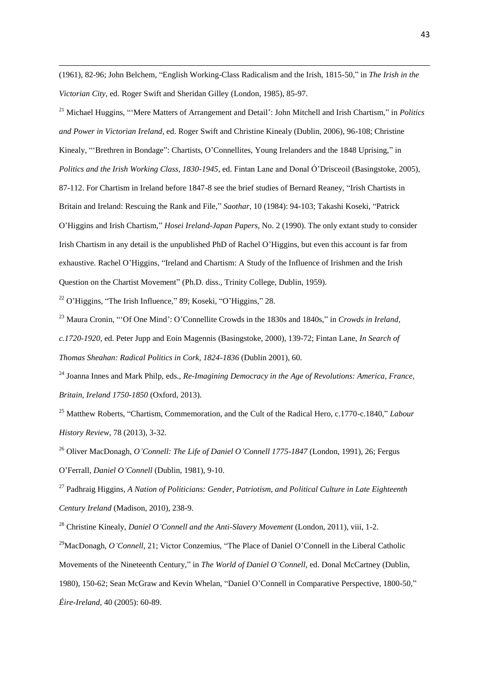(1961), 82-96; John Belchem, "English Working-Class Radicalism and the Irish, 1815-50," in *The Irish in the Victorian City*, ed. Roger Swift and Sheridan Gilley (London, 1985), 85-97.

<sup>21</sup> Michael Huggins, "'Mere Matters of Arrangement and Detail': John Mitchell and Irish Chartism," in *Politics and Power in Victorian Ireland*, ed. Roger Swift and Christine Kinealy (Dublin, 2006), 96-108; Christine Kinealy, "'Brethren in Bondage": Chartists, O'Connellites, Young Irelanders and the 1848 Uprising," in *Politics and the Irish Working Class, 1830-1945*, ed. Fintan Lane and Donal Ó'Drisceoil (Basingstoke, 2005), 87-112. For Chartism in Ireland before 1847-8 see the brief studies of Bernard Reaney, "Irish Chartists in Britain and Ireland: Rescuing the Rank and File," *Saothar*, 10 (1984): 94-103; Takashi Koseki, "Patrick O'Higgins and Irish Chartism," *Hosei Ireland-Japan Papers*, No. 2 (1990). The only extant study to consider Irish Chartism in any detail is the unpublished PhD of Rachel O'Higgins, but even this account is far from exhaustive. Rachel O'Higgins, "Ireland and Chartism: A Study of the Influence of Irishmen and the Irish Question on the Chartist Movement" (Ph.D. diss., Trinity College, Dublin, 1959).

 $22$  O'Higgins, "The Irish Influence," 89; Koseki, "O'Higgins," 28.

1

<sup>23</sup> Maura Cronin, "'Of One Mind': O'Connellite Crowds in the 1830s and 1840s," in *Crowds in Ireland, c.1720-1920*, ed. Peter Jupp and Eoin Magennis (Basingstoke, 2000), 139-72; Fintan Lane, *In Search of Thomas Sheahan: Radical Politics in Cork, 1824-1836* (Dublin 2001), 60.

<sup>24</sup> Joanna Innes and Mark Philp, eds., *Re-Imagining Democracy in the Age of Revolutions: America, France, Britain, Ireland 1750-1850* (Oxford, 2013).

<sup>25</sup> Matthew Roberts, "Chartism, Commemoration, and the Cult of the Radical Hero, c.1770-c.1840," *Labour History Review*, 78 (2013), 3-32.

<sup>26</sup> Oliver MacDonagh, *O'Connell: The Life of Daniel O'Connell 1775-1847* (London, 1991), 26; Fergus O'Ferrall, *Daniel O'Connell* (Dublin, 1981), 9-10.

<sup>27</sup> Padhraig Higgins, *A Nation of Politicians: Gender, Patriotism, and Political Culture in Late Eighteenth Century Ireland* (Madison, 2010), 238-9.

<sup>28</sup> Christine Kinealy. *Daniel O'Connell and the Anti-Slavery Movement* (London, 2011), viii, 1-2.

<sup>29</sup>MacDonagh, *O'Connell*, 21; Victor Conzemius, "The Place of Daniel O'Connell in the Liberal Catholic Movements of the Nineteenth Century," in *The World of Daniel O'Connell*, ed. Donal McCartney (Dublin, 1980), 150-62; Sean McGraw and Kevin Whelan, "Daniel O'Connell in Comparative Perspective, 1800-50," *Éire-Ireland*, 40 (2005): 60-89.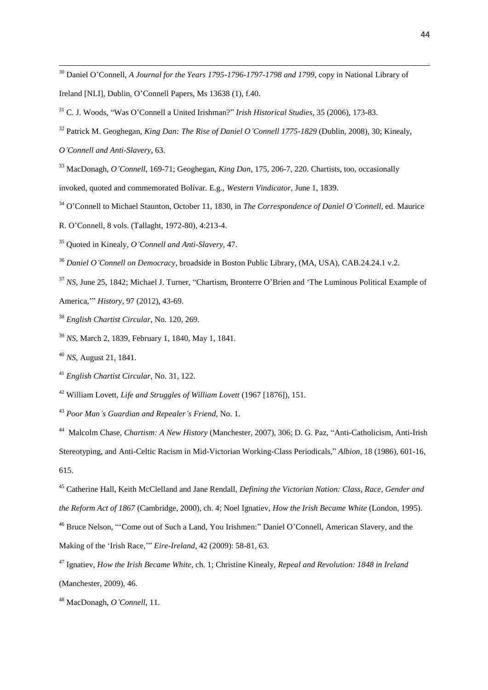Daniel O'Connell, *A Journal for the Years 1795-1796-1797-1798 and 1799*, copy in National Library of Ireland [NLI], Dublin, O'Connell Papers, Ms 13638 (1), f.40.

C. J. Woods, "Was O'Connell a United Irishman?" *Irish Historical Studies*, 35 (2006), 173-83.

<sup>32</sup> Patrick M. Geoghegan, *King Dan: The Rise of Daniel O'Connell 1775-1829* (Dublin, 2008), 30; Kinealy,

*O'Connell and Anti-Slavery*, 63.

MacDonagh, *O'Connell*, 169-71; Geoghegan, *King Dan*, 175, 206-7, 220. Chartists, too, occasionally

invoked, quoted and commemorated Bolívar. E.g., *Western Vindicator*, June 1, 1839.

O'Connell to Michael Staunton, October 11, 1830, in *The Correspondence of Daniel O'Connell*, ed. Maurice

R. O'Connell, 8 vols. (Tallaght, 1972-80), 4:213-4.

Quoted in Kinealy, *O'Connell and Anti-Slavery*, 47.

*Daniel O'Connell on Democracy*, broadside in Boston Public Library, (MA, USA), CAB.24.24.1 v.2.

<sup>37</sup> *NS*, June 25, 1842; Michael J. Turner, "Chartism, Bronterre O'Brien and 'The Luminous Political Example of America,'" *History*, 97 (2012), 43-69.

*English Chartist Circular*, No. 120, 269.

*NS*, March 2, 1839, February 1, 1840, May 1, 1841.

*NS*, August 21, 1841.

*English Chartist Circular*, No. 31, 122.

William Lovett, *Life and Struggles of William Lovett* (1967 [1876]), 151.

*Poor Man's Guardian and Repealer's Friend*, No. 1.

 Malcolm Chase, *Chartism: A New History* (Manchester, 2007), 306; D. G. Paz, "Anti-Catholicism, Anti-Irish Stereotyping, and Anti-Celtic Racism in Mid-Victorian Working-Class Periodicals," *Albion*, 18 (1986), 601-16, 615.

 Catherine Hall, Keith McClelland and Jane Rendall, *Defining the Victorian Nation: Class, Race, Gender and the Reform Act of 1867* (Cambridge, 2000), ch. 4; Noel Ignatiev, *How the Irish Became White* (London, 1995).

 Bruce Nelson, "'Come out of Such a Land, You Irishmen:" Daniel O'Connell, American Slavery, and the Making of the 'Irish Race,'" *Eire-Ireland*, 42 (2009): 58-81, 63.

 Ignatiev, *How the Irish Became White*, ch. 1; Christine Kinealy, *Repeal and Revolution: 1848 in Ireland*  (Manchester, 2009), 46.

MacDonagh, *O'Connell*, 11.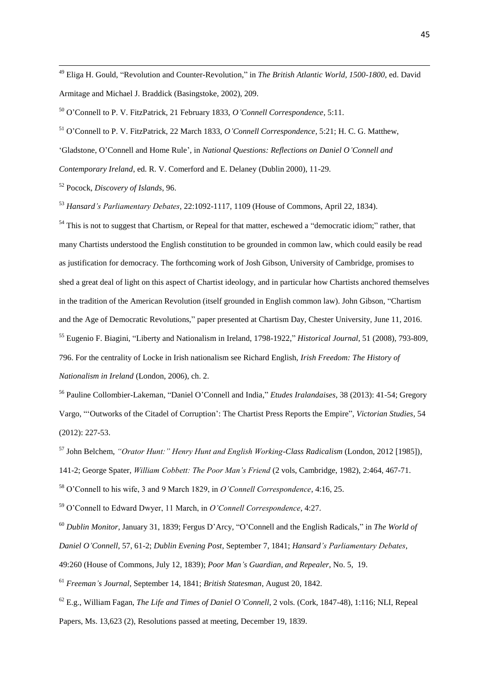<sup>49</sup> Eliga H. Gould, "Revolution and Counter-Revolution," in *The British Atlantic World, 1500-1800*, ed. David Armitage and Michael J. Braddick (Basingstoke, 2002), 209.

<sup>50</sup> O'Connell to P. V. FitzPatrick, 21 February 1833, *O'Connell Correspondence*, 5:11.

<sup>51</sup> O'Connell to P. V. FitzPatrick, 22 March 1833, *O'Connell Correspondence*, 5:21; H. C. G. Matthew,

'Gladstone, O'Connell and Home Rule', in *National Questions: Reflections on Daniel O'Connell and* 

*Contemporary Ireland*, ed. R. V. Comerford and E. Delaney (Dublin 2000), 11-29.

<sup>52</sup> Pocock, *Discovery of Islands*, 96.

1

<sup>53</sup> *Hansard's Parliamentary Debates*, 22:1092-1117, 1109 (House of Commons, April 22, 1834).

 $<sup>54</sup>$  This is not to suggest that Chartism, or Repeal for that matter, eschewed a "democratic idiom;" rather, that</sup> many Chartists understood the English constitution to be grounded in common law, which could easily be read as justification for democracy. The forthcoming work of Josh Gibson, University of Cambridge, promises to shed a great deal of light on this aspect of Chartist ideology, and in particular how Chartists anchored themselves in the tradition of the American Revolution (itself grounded in English common law). John Gibson, "Chartism and the Age of Democratic Revolutions," paper presented at Chartism Day, Chester University, June 11, 2016. <sup>55</sup> Eugenio F. Biagini, "Liberty and Nationalism in Ireland, 1798-1922," *Historical Journal*, 51 (2008), 793-809, 796. For the centrality of Locke in Irish nationalism see Richard English, *Irish Freedom: The History of Nationalism in Ireland* (London, 2006), ch. 2.

<sup>56</sup> Pauline Collombier-Lakeman, "Daniel O'Connell and India," *Etudes Iralandaises*, 38 (2013): 41-54; Gregory Vargo, "'Outworks of the Citadel of Corruption': The Chartist Press Reports the Empire", *Victorian Studies*, 54 (2012): 227-53.

<sup>57</sup> John Belchem, *"Orator Hunt:" Henry Hunt and English Working-Class Radicalism* (London, 2012 [1985]), 141-2; George Spater, *William Cobbett: The Poor Man's Friend* (2 vols, Cambridge, 1982), 2:464, 467-71.

<sup>58</sup> O'Connell to his wife, 3 and 9 March 1829, in *O'Connell Correspondence*, 4:16, 25.

<sup>59</sup> O'Connell to Edward Dwyer, 11 March, in *O'Connell Correspondence*, 4:27.

<sup>60</sup> *Dublin Monitor*, January 31, 1839; Fergus D'Arcy, "O'Connell and the English Radicals," in *The World of* 

*Daniel O'Connell*, 57, 61-2; *Dublin Evening Post*, September 7, 1841; *Hansard's Parliamentary Debates*,

49:260 (House of Commons, July 12, 1839); *Poor Man's Guardian, and Repealer*, No. 5, 19.

- <sup>61</sup> *Freeman's Journal*, September 14, 1841; *British Statesman*, August 20, 1842.
- <sup>62</sup> E.g., William Fagan, *The Life and Times of Daniel O'Connell*, 2 vols. (Cork, 1847-48), 1:116; NLI, Repeal Papers, Ms. 13,623 (2), Resolutions passed at meeting, December 19, 1839.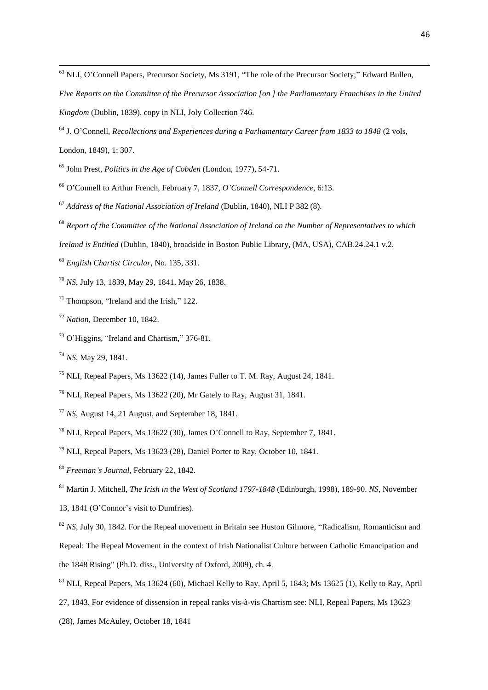<sup>63</sup> NLI, O'Connell Papers, Precursor Society, Ms 3191, "The role of the Precursor Society;" Edward Bullen,

- *Five Reports on the Committee of the Precursor Association [on ] the Parliamentary Franchises in the United Kingdom* (Dublin, 1839), copy in NLI, Joly Collection 746.
- J. O'Connell, *Recollections and Experiences during a Parliamentary Career from 1833 to 1848* (2 vols,

London, 1849), 1: 307.

John Prest, *Politics in the Age of Cobden* (London, 1977), 54-71.

- O'Connell to Arthur French, February 7, 1837, *O'Connell Correspondence*, 6:13.
- *Address of the National Association of Ireland* (Dublin, 1840), NLI P 382 (8).
- *Report of the Committee of the National Association of Ireland on the Number of Representatives to which*
- *Ireland is Entitled* (Dublin, 1840), broadside in Boston Public Library, (MA, USA), CAB.24.24.1 v.2.
- *English Chartist Circular*, No. 135, 331.

*NS*, July 13, 1839, May 29, 1841, May 26, 1838.

Thompson, "Ireland and the Irish," 122.

*Nation*, December 10, 1842.

- O'Higgins, "Ireland and Chartism," 376-81.
- *NS*, May 29, 1841.
- $^{75}$  NLI, Repeal Papers, Ms 13622 (14), James Fuller to T. M. Ray, August 24, 1841.
- NLI, Repeal Papers, Ms 13622 (20), Mr Gately to Ray, August 31, 1841.
- *NS*, August 14, 21 August, and September 18, 1841.
- NLI, Repeal Papers, Ms 13622 (30), James O'Connell to Ray, September 7, 1841.
- NLI, Repeal Papers, Ms 13623 (28), Daniel Porter to Ray, October 10, 1841.
- *Freeman's Journal*, February 22, 1842.

Martin J. Mitchell, *The Irish in the West of Scotland 1797-1848* (Edinburgh, 1998), 189-90. *NS*, November

- 13, 1841 (O'Connor's visit to Dumfries).
- *NS*, July 30, 1842. For the Repeal movement in Britain see Huston Gilmore, "Radicalism, Romanticism and Repeal: The Repeal Movement in the context of Irish Nationalist Culture between Catholic Emancipation and the 1848 Rising" (Ph.D. diss., University of Oxford, 2009), ch. 4.
- NLI, Repeal Papers, Ms 13624 (60), Michael Kelly to Ray, April 5, 1843; Ms 13625 (1), Kelly to Ray, April
- 27, 1843. For evidence of dissension in repeal ranks vis-à-vis Chartism see: NLI, Repeal Papers, Ms 13623
- (28), James McAuley, October 18, 1841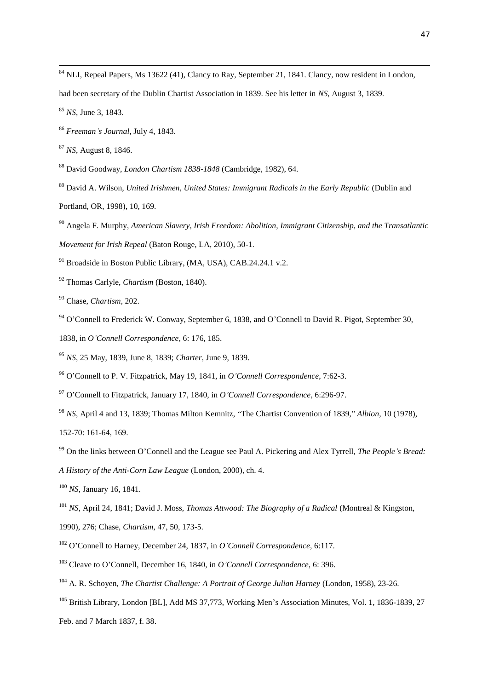<sup>84</sup> NLI, Repeal Papers, Ms 13622 (41), Clancy to Ray, September 21, 1841. Clancy, now resident in London,

had been secretary of the Dublin Chartist Association in 1839. See his letter in *NS*, August 3, 1839.

*NS*, June 3, 1843.

*Freeman's Journal*, July 4, 1843.

*NS*, August 8, 1846.

David Goodway, *London Chartism 1838-1848* (Cambridge, 1982), 64.

David A. Wilson, *United Irishmen, United States: Immigrant Radicals in the Early Republic* (Dublin and

Portland, OR, 1998), 10, 169.

 Angela F. Murphy, *American Slavery, Irish Freedom: Abolition, Immigrant Citizenship, and the Transatlantic Movement for Irish Repeal* (Baton Rouge, LA, 2010), 50-1.

<sup>91</sup> Broadside in Boston Public Library, (MA, USA), CAB.24.24.1 v.2.

Thomas Carlyle, *Chartism* (Boston, 1840).

Chase, *Chartism*, 202.

O'Connell to Frederick W. Conway, September 6, 1838, and O'Connell to David R. Pigot, September 30,

1838, in *O'Connell Correspondence*, 6: 176, 185.

*NS*, 25 May, 1839, June 8, 1839; *Charter*, June 9, 1839.

O'Connell to P. V. Fitzpatrick, May 19, 1841, in *O'Connell Correspondence*, 7:62-3.

O'Connell to Fitzpatrick, January 17, 1840, in *O'Connell Correspondence*, 6:296-97.

*NS*, April 4 and 13, 1839; Thomas Milton Kemnitz, "The Chartist Convention of 1839," *Albion*, 10 (1978),

152-70: 161-64, 169.

On the links between O'Connell and the League see Paul A. Pickering and Alex Tyrrell, *The People's Bread:* 

*A History of the Anti-Corn Law League* (London, 2000), ch. 4.

*NS*, January 16, 1841.

<sup>101</sup> *NS*, April 24, 1841; David J. Moss, *Thomas Attwood: The Biography of a Radical* (Montreal & Kingston,

1990), 276; Chase, *Chartism*, 47, 50, 173-5.

O'Connell to Harney, December 24, 1837, in *O'Connell Correspondence*, 6:117.

Cleave to O'Connell, December 16, 1840, in *O'Connell Correspondence*, 6: 396.

A. R. Schoyen, *The Chartist Challenge: A Portrait of George Julian Harney* (London, 1958), 23-26.

<sup>105</sup> British Library, London [BL], Add MS 37,773, Working Men's Association Minutes, Vol. 1, 1836-1839, 27 Feb. and 7 March 1837, f. 38.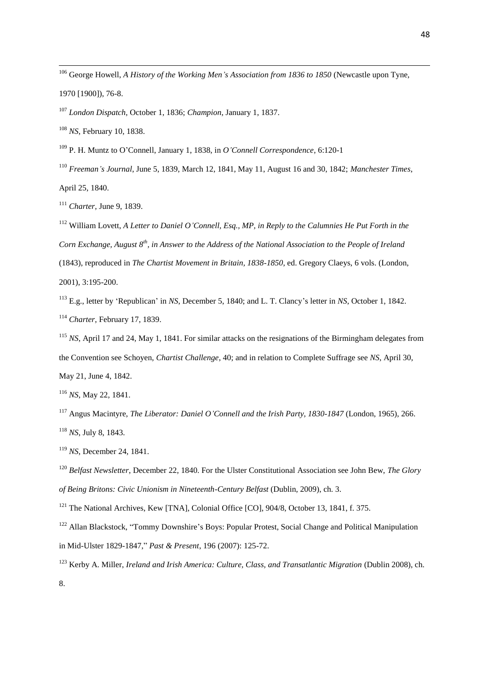<sup>106</sup> George Howell, *A History of the Working Men's Association from 1836 to 1850* (Newcastle upon Tyne, 1970 [1900]), 76-8.

<sup>107</sup> *London Dispatch*, October 1, 1836; *Champion*, January 1, 1837.

<sup>108</sup> *NS*, February 10, 1838.

1

<sup>109</sup> P. H. Muntz to O'Connell, January 1, 1838, in *O'Connell Correspondence*, 6:120-1

<sup>110</sup> *Freeman's Journal*, June 5, 1839, March 12, 1841, May 11, August 16 and 30, 1842; *Manchester Times*, April 25, 1840.

<sup>111</sup> *Charter*, June 9, 1839.

<sup>112</sup> William Lovett, *A Letter to Daniel O'Connell, Esq., MP, in Reply to the Calumnies He Put Forth in the Corn Exchange, August 8th, in Answer to the Address of the National Association to the People of Ireland*  (1843), reproduced in *The Chartist Movement in Britain, 1838-1850*, ed. Gregory Claeys, 6 vols. (London, 2001), 3:195-200.

<sup>113</sup> E.g., letter by 'Republican' in *NS*, December 5, 1840; and L. T. Clancy's letter in *NS*, October 1, 1842. <sup>114</sup> *Charter*, February 17, 1839.

<sup>115</sup> *NS*, April 17 and 24, May 1, 1841. For similar attacks on the resignations of the Birmingham delegates from the Convention see Schoyen, *Chartist Challenge*, 40; and in relation to Complete Suffrage see *NS*, April 30, May 21, June 4, 1842.

<sup>116</sup> *NS*, May 22, 1841.

<sup>117</sup> Angus Macintyre, *The Liberator: Daniel O'Connell and the Irish Party, 1830-1847* (London, 1965), 266. <sup>118</sup> *NS*, July 8, 1843.

<sup>119</sup> *NS*, December 24, 1841.

<sup>120</sup> *Belfast Newsletter*, December 22, 1840. For the Ulster Constitutional Association see John Bew, *The Glory of Being Britons: Civic Unionism in Nineteenth-Century Belfast* (Dublin, 2009), ch. 3.

<sup>121</sup> The National Archives, Kew [TNA], Colonial Office [CO], 904/8, October 13, 1841, f. 375.

<sup>122</sup> Allan Blackstock, "Tommy Downshire's Boys: Popular Protest, Social Change and Political Manipulation in Mid-Ulster 1829-1847," *Past & Present*, 196 (2007): 125-72.

<sup>123</sup> Kerby A. Miller, *Ireland and Irish America: Culture, Class, and Transatlantic Migration (Dublin 2008), ch.* 8.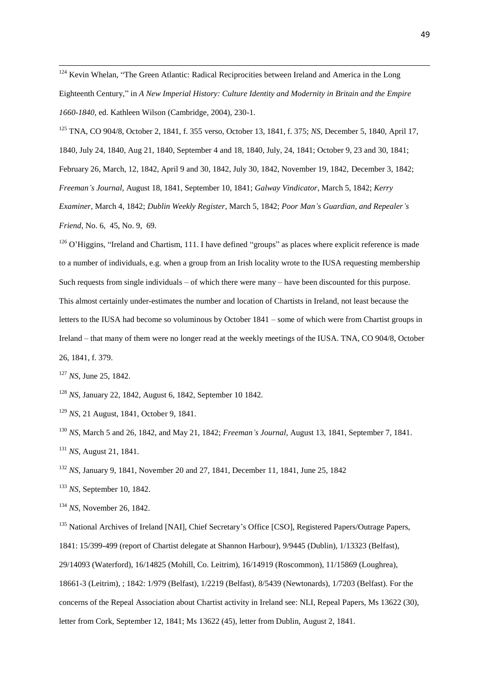<sup>124</sup> Kevin Whelan, "The Green Atlantic: Radical Reciprocities between Ireland and America in the Long Eighteenth Century," in *A New Imperial History: Culture Identity and Modernity in Britain and the Empire 1660-1840*, ed. Kathleen Wilson (Cambridge, 2004), 230-1.

<sup>125</sup> TNA, CO 904/8, October 2, 1841, f. 355 verso, October 13, 1841, f. 375; *NS*, December 5, 1840, April 17, 1840, July 24, 1840, Aug 21, 1840, September 4 and 18, 1840, July, 24, 1841; October 9, 23 and 30, 1841; February 26, March, 12, 1842, April 9 and 30, 1842, July 30, 1842, November 19, 1842, December 3, 1842; *Freeman's Journal*, August 18, 1841, September 10, 1841; *Galway Vindicator*, March 5, 1842; *Kerry Examiner*, March 4, 1842; *Dublin Weekly Register*, March 5, 1842; *Poor Man's Guardian, and Repealer's Friend*, No. 6, 45, No. 9, 69.

 $126$  O'Higgins, "Ireland and Chartism, 111. I have defined "groups" as places where explicit reference is made to a number of individuals, e.g. when a group from an Irish locality wrote to the IUSA requesting membership Such requests from single individuals – of which there were many – have been discounted for this purpose. This almost certainly under-estimates the number and location of Chartists in Ireland, not least because the letters to the IUSA had become so voluminous by October 1841 – some of which were from Chartist groups in Ireland – that many of them were no longer read at the weekly meetings of the IUSA. TNA, CO 904/8, October 26, 1841, f. 379.

<sup>127</sup> *NS*, June 25, 1842.

1

<sup>128</sup> *NS*, January 22, 1842, August 6, 1842, September 10 1842.

<sup>129</sup> *NS*, 21 August, 1841, October 9, 1841.

<sup>130</sup> *NS*, March 5 and 26, 1842, and May 21, 1842; *Freeman's Journal*, August 13, 1841, September 7, 1841. <sup>131</sup> *NS*, August 21, 1841.

<sup>132</sup> *NS*, January 9, 1841, November 20 and 27, 1841, December 11, 1841, June 25, 1842

<sup>133</sup> *NS*, September 10, 1842.

<sup>134</sup> *NS*, November 26, 1842.

<sup>135</sup> National Archives of Ireland [NAI], Chief Secretary's Office [CSO], Registered Papers/Outrage Papers, 1841: 15/399-499 (report of Chartist delegate at Shannon Harbour), 9/9445 (Dublin), 1/13323 (Belfast), 29/14093 (Waterford), 16/14825 (Mohill, Co. Leitrim), 16/14919 (Roscommon), 11/15869 (Loughrea), 18661-3 (Leitrim), ; 1842: 1/979 (Belfast), 1/2219 (Belfast), 8/5439 (Newtonards), 1/7203 (Belfast). For the concerns of the Repeal Association about Chartist activity in Ireland see: NLI, Repeal Papers, Ms 13622 (30), letter from Cork, September 12, 1841; Ms 13622 (45), letter from Dublin, August 2, 1841.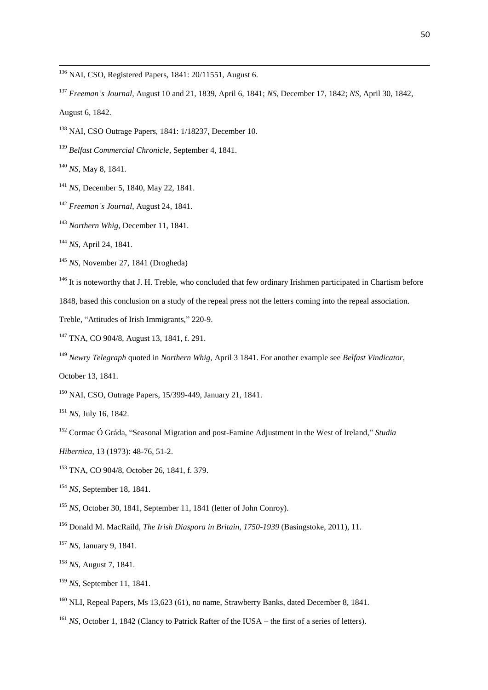<sup>136</sup> NAI, CSO, Registered Papers, 1841: 20/11551, August 6.

- NAI, CSO Outrage Papers, 1841: 1/18237, December 10.
- *Belfast Commercial Chronicle*, September 4, 1841.

*NS*, May 8, 1841.

- *NS*, December 5, 1840, May 22, 1841.
- *Freeman's Journal*, August 24, 1841.
- *Northern Whig*, December 11, 1841.
- *NS*, April 24, 1841.
- *NS*, November 27, 1841 (Drogheda)

<sup>146</sup> It is noteworthy that J. H. Treble, who concluded that few ordinary Irishmen participated in Chartism before

1848, based this conclusion on a study of the repeal press not the letters coming into the repeal association.

- Treble, "Attitudes of Irish Immigrants," 220-9.
- TNA, CO 904/8, August 13, 1841, f. 291.
- *Newry Telegraph* quoted in *Northern Whig*, April 3 1841. For another example see *Belfast Vindicator*,

October 13, 1841.

NAI, CSO, Outrage Papers, 15/399-449, January 21, 1841.

- *NS*, July 16, 1842.
- Cormac Ó Gráda, "Seasonal Migration and post-Famine Adjustment in the West of Ireland," *Studia*
- *Hibernica*, 13 (1973): 48-76, 51-2.
- TNA, CO 904/8, October 26, 1841, f. 379.
- *NS*, September 18, 1841.

*NS*, October 30, 1841, September 11, 1841 (letter of John Conroy).

- Donald M. MacRaild, *The Irish Diaspora in Britain, 1750-1939* (Basingstoke, 2011), 11.
- *NS*, January 9, 1841.
- *NS*, August 7, 1841.
- *NS*, September 11, 1841.
- <sup>160</sup> NLI, Repeal Papers, Ms 13,623 (61), no name, Strawberry Banks, dated December 8, 1841.
- <sup>161</sup> *NS*, October 1, 1842 (Clancy to Patrick Rafter of the IUSA the first of a series of letters).

 *Freeman's Journal*, August 10 and 21, 1839, April 6, 1841; *NS*, December 17, 1842; *NS*, April 30, 1842, August 6, 1842.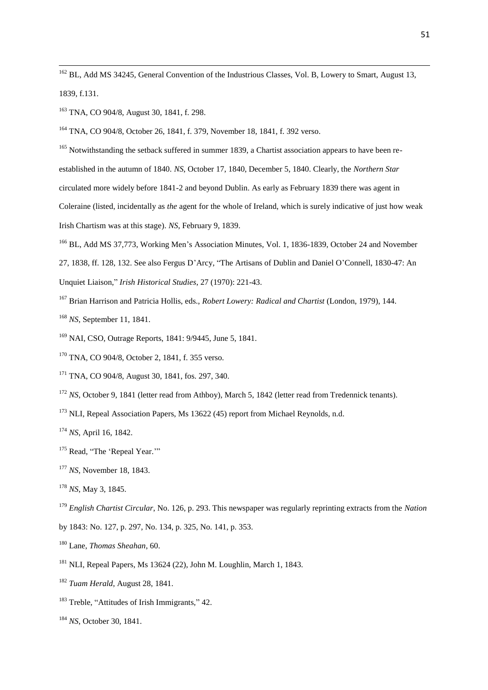<sup>162</sup> BL, Add MS 34245, General Convention of the Industrious Classes, Vol. B, Lowery to Smart, August 13, 1839, f.131.

<sup>163</sup> TNA, CO 904/8, August 30, 1841, f. 298.

1

<sup>164</sup> TNA, CO 904/8, October 26, 1841, f. 379, November 18, 1841, f. 392 verso.

<sup>165</sup> Notwithstanding the setback suffered in summer 1839, a Chartist association appears to have been reestablished in the autumn of 1840. *NS*, October 17, 1840, December 5, 1840. Clearly, the *Northern Star* circulated more widely before 1841-2 and beyond Dublin. As early as February 1839 there was agent in Coleraine (listed, incidentally as *the* agent for the whole of Ireland, which is surely indicative of just how weak Irish Chartism was at this stage). *NS*, February 9, 1839.

<sup>166</sup> BL, Add MS 37,773, Working Men's Association Minutes, Vol. 1, 1836-1839, October 24 and November 27, 1838, ff. 128, 132. See also Fergus D'Arcy, "The Artisans of Dublin and Daniel O'Connell, 1830-47: An

Unquiet Liaison," *Irish Historical Studies*, 27 (1970): 221-43.

<sup>167</sup> Brian Harrison and Patricia Hollis, eds., *Robert Lowery: Radical and Chartist* (London, 1979), 144.

<sup>168</sup> *NS*, September 11, 1841.

<sup>169</sup> NAI, CSO, Outrage Reports, 1841: 9/9445, June 5, 1841.

<sup>170</sup> TNA, CO 904/8, October 2, 1841, f. 355 verso.

<sup>171</sup> TNA, CO 904/8, August 30, 1841, fos. 297, 340.

<sup>172</sup> *NS*, October 9, 1841 (letter read from Athboy), March 5, 1842 (letter read from Tredennick tenants).

<sup>173</sup> NLI, Repeal Association Papers, Ms 13622 (45) report from Michael Reynolds, n.d.

<sup>174</sup> *NS*, April 16, 1842.

<sup>175</sup> Read, "The 'Repeal Year.""

<sup>177</sup> *NS*, November 18, 1843.

<sup>178</sup> *NS*, May 3, 1845.

<sup>179</sup> *English Chartist Circular*, No. 126, p. 293. This newspaper was regularly reprinting extracts from the *Nation*  by 1843: No. 127, p. 297, No. 134, p. 325, No. 141, p. 353.

<sup>180</sup> Lane, *Thomas Sheahan*, 60.

<sup>181</sup> NLI, Repeal Papers, Ms 13624 (22), John M. Loughlin, March 1, 1843.

<sup>182</sup> *Tuam Herald*, August 28, 1841.

<sup>183</sup> Treble, "Attitudes of Irish Immigrants," 42.

<sup>184</sup> *NS*, October 30, 1841.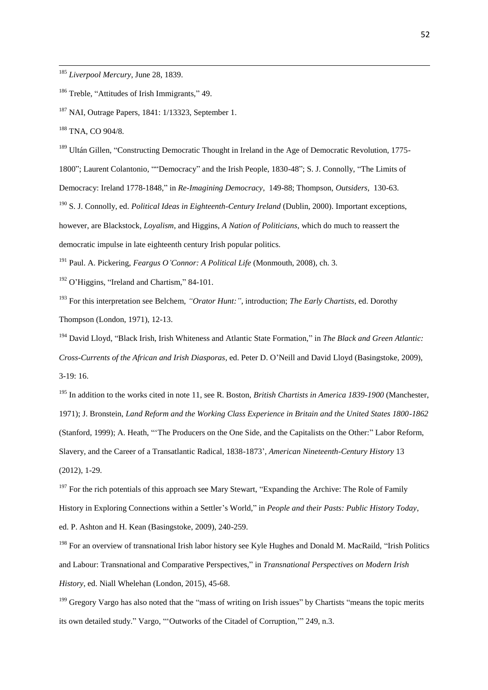<sup>185</sup> *Liverpool Mercury*, June 28, 1839.

<sup>186</sup> Treble, "Attitudes of Irish Immigrants," 49.

 $187$  NAI, Outrage Papers, 1841: 1/13323, September 1.

<sup>188</sup> TNA, CO 904/8.

1

<sup>189</sup> Ultán Gillen, "Constructing Democratic Thought in Ireland in the Age of Democratic Revolution, 1775-1800"; Laurent Colantonio, ""Democracy" and the Irish People, 1830-48"; S. J. Connolly, "The Limits of Democracy: Ireland 1778-1848," in *Re-Imagining Democracy*, 149-88; Thompson, *Outsiders*, 130-63. <sup>190</sup> S. J. Connolly, ed. *Political Ideas in Eighteenth-Century Ireland* (Dublin, 2000). Important exceptions, however, are Blackstock, *Loyalism*, and Higgins, *A Nation of Politicians*, which do much to reassert the

democratic impulse in late eighteenth century Irish popular politics.

<sup>191</sup> Paul. A. Pickering, *Feargus O'Connor: A Political Life* (Monmouth, 2008), ch. 3.

<sup>192</sup> O'Higgins, "Ireland and Chartism," 84-101.

<sup>193</sup> For this interpretation see Belchem, *"Orator Hunt:"*, introduction; *The Early Chartists*, ed. Dorothy Thompson (London, 1971), 12-13.

<sup>194</sup> David Lloyd, "Black Irish, Irish Whiteness and Atlantic State Formation," in *The Black and Green Atlantic: Cross-Currents of the African and Irish Diasporas*, ed. Peter D. O'Neill and David Lloyd (Basingstoke, 2009), 3-19: 16.

<sup>195</sup> In addition to the works cited in note 11, see R. Boston, *British Chartists in America 1839-1900* (Manchester, 1971); J. Bronstein, *Land Reform and the Working Class Experience in Britain and the United States 1800-1862*  (Stanford, 1999); A. Heath, "'The Producers on the One Side, and the Capitalists on the Other:" Labor Reform, Slavery, and the Career of a Transatlantic Radical, 1838-1873', *American Nineteenth-Century History* 13 (2012), 1-29.

 $197$  For the rich potentials of this approach see Mary Stewart, "Expanding the Archive: The Role of Family History in Exploring Connections within a Settler's World," in *People and their Pasts: Public History Today*, ed. P. Ashton and H. Kean (Basingstoke, 2009), 240-259.

<sup>198</sup> For an overview of transnational Irish labor history see Kyle Hughes and Donald M. MacRaild, "Irish Politics and Labour: Transnational and Comparative Perspectives," in *Transnational Perspectives on Modern Irish History*, ed. Niall Whelehan (London, 2015), 45-68.

<sup>199</sup> Gregory Vargo has also noted that the "mass of writing on Irish issues" by Chartists "means the topic merits its own detailed study." Vargo, "'Outworks of the Citadel of Corruption,'" 249, n.3.